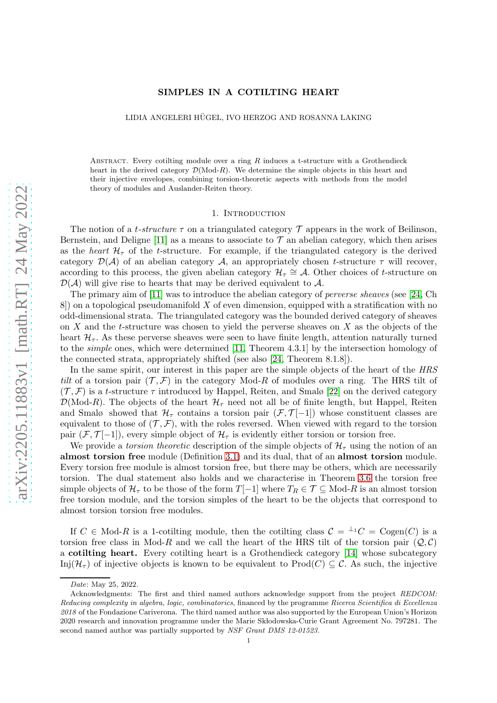### SIMPLES IN A COTILTING HEART

LIDIA ANGELERI HÜGEL, IVO HERZOG AND ROSANNA LAKING

ABSTRACT. Every cotilting module over a ring  $R$  induces a t-structure with a Grothendieck heart in the derived category  $\mathcal{D}(\text{Mod-}R)$ . We determine the simple objects in this heart and their injective envelopes, combining torsion-theoretic aspects with methods from the model theory of modules and Auslander-Reiten theory.

#### 1. Introduction

The notion of a t-structure  $\tau$  on a triangulated category  $\tau$  appears in the work of Beilinson, Bernstein, and Deligne [\[11\]](#page-26-0) as a means to associate to  $\mathcal T$  an abelian category, which then arises as the heart  $\mathcal{H}_{\tau}$  of the t-structure. For example, if the triangulated category is the derived category  $\mathcal{D}(\mathcal{A})$  of an abelian category  $\mathcal{A}$ , an appropriately chosen t-structure  $\tau$  will recover, according to this process, the given abelian category  $\mathcal{H}_{\tau} \cong \mathcal{A}$ . Other choices of t-structure on  $\mathcal{D}(\mathcal{A})$  will give rise to hearts that may be derived equivalent to  $\mathcal{A}$ .

The primary aim of [\[11\]](#page-26-0) was to introduce the abelian category of *perverse sheaves* (see [\[24,](#page-26-1) Ch  $8$ ) on a topological pseudomanifold X of even dimension, equipped with a stratification with no odd-dimensional strata. The triangulated category was the bounded derived category of sheaves on  $X$  and the t-structure was chosen to yield the perverse sheaves on  $X$  as the objects of the heart  $\mathcal{H}_{\tau}$ . As these perverse sheaves were seen to have finite length, attention naturally turned to the simple ones, which were determined [\[11,](#page-26-0) Theorem 4.3.1] by the intersection homology of the connected strata, appropriately shifted (see also [\[24,](#page-26-1) Theorem 8.1.8]).

In the same spirit, our interest in this paper are the simple objects of the heart of the HRS tilt of a torsion pair  $(\mathcal{T}, \mathcal{F})$  in the category Mod-R of modules over a ring. The HRS tilt of  $(\mathcal{T}, \mathcal{F})$  is a t-structure  $\tau$  introduced by Happel, Reiten, and Smalø [\[22\]](#page-26-2) on the derived category  $\mathcal{D}(\text{Mod-}R)$ . The objects of the heart  $\mathcal{H}_{\tau}$  need not all be of finite length, but Happel, Reiten and Smalø showed that  $\mathcal{H}_{\tau}$  contains a torsion pair  $(\mathcal{F}, \mathcal{T}[-1])$  whose constituent classes are equivalent to those of  $(\mathcal{T}, \mathcal{F})$ , with the roles reversed. When viewed with regard to the torsion pair  $(F, \mathcal{T}[-1])$ , every simple object of  $\mathcal{H}_{\tau}$  is evidently either torsion or torsion free.

We provide a torsion theoretic description of the simple objects of  $\mathcal{H}_{\tau}$  using the notion of an almost torsion free module (Definition [3.1\)](#page-6-0) and its dual, that of an almost torsion module. Every torsion free module is almost torsion free, but there may be others, which are necessarily torsion. The dual statement also holds and we characterise in Theorem [3.6](#page-8-0) the torsion free simple objects of  $\mathcal{H}_{\tau}$  to be those of the form  $T[-1]$  where  $T_R \in \mathcal{T} \subseteq \text{Mod-}R$  is an almost torsion free torsion module, and the torsion simples of the heart to be the objects that correspond to almost torsion torsion free modules.

If  $C \in Mod-R$  is a 1-cotilting module, then the cotilting class  $C = {}^{\perp_1}C = \text{Cogen}(C)$  is a torsion free class in Mod-R and we call the heart of the HRS tilt of the torsion pair  $(Q, C)$ a cotilting heart. Every cotilting heart is a Grothendieck category [\[14\]](#page-26-3) whose subcategory Inj $(\mathcal{H}_{\tau})$  of injective objects is known to be equivalent to Prod $(C) \subseteq \mathcal{C}$ . As such, the injective

*Date*: May 25, 2022.

Acknowledgments: The first and third named authors acknowledge support from the project *REDCOM: Reducing complexity in algebra, logic, combinatorics*, financed by the programme *Ricerca Scientifica di Eccellenza 2018* of the Fondazione Cariverona. The third named author was also supported by the European Union's Horizon 2020 research and innovation programme under the Marie Skłodowska-Curie Grant Agreement No. 797281. The second named author was partially supported by *NSF Grant DMS 12-01523.*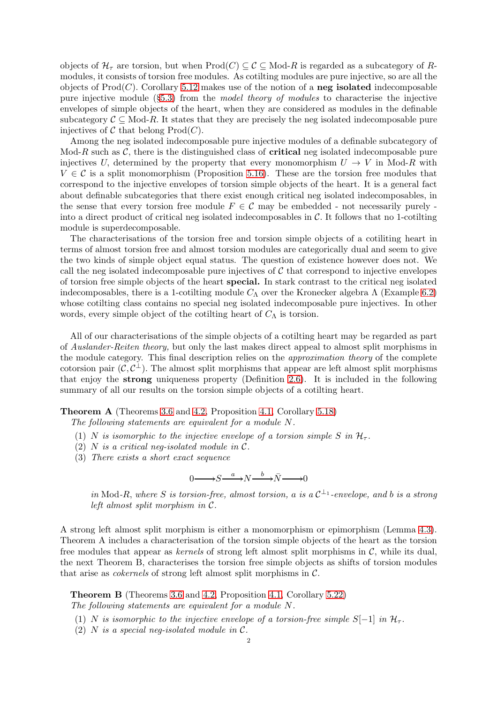objects of  $\mathcal{H}_{\tau}$  are torsion, but when  $\text{Prod}(C) \subseteq \mathcal{C} \subseteq \text{Mod-}R$  is regarded as a subcategory of Rmodules, it consists of torsion free modules. As cotilting modules are pure injective, so are all the objects of  $\text{Prod}(C)$ . Corollary [5.12](#page-14-0) makes use of the notion of a **neg isolated** indecomposable pure injective module  $(\S5.3)$  $(\S5.3)$  from the *model theory of modules* to characterise the injective envelopes of simple objects of the heart, when they are considered as modules in the definable subcategory  $C \subseteq Mod-R$ . It states that they are precisely the neg isolated indecomposable pure injectives of C that belong  $\text{Prod}(C)$ .

Among the neg isolated indecomposable pure injective modules of a definable subcategory of Mod-R such as  $\mathcal{C}$ , there is the distinguished class of **critical** neg isolated indecomposable pure injectives U, determined by the property that every monomorphism  $U \to V$  in Mod-R with  $V \in \mathcal{C}$  is a split monomorphism (Proposition [5.16\)](#page-15-0). These are the torsion free modules that correspond to the injective envelopes of torsion simple objects of the heart. It is a general fact about definable subcategories that there exist enough critical neg isolated indecomposables, in the sense that every torsion free module  $F \in \mathcal{C}$  may be embedded - not necessarily purely into a direct product of critical neg isolated indecomposables in  $\mathcal{C}$ . It follows that no 1-cotilting module is superdecomposable.

The characterisations of the torsion free and torsion simple objects of a cotiliting heart in terms of almost torsion free and almost torsion modules are categorically dual and seem to give the two kinds of simple object equal status. The question of existence however does not. We call the neg isolated indecomposable pure injectives of  $\mathcal C$  that correspond to injective envelopes of torsion free simple objects of the heart special. In stark contrast to the critical neg isolated indecomposables, there is a 1-cotilting module  $C_{\Lambda}$  over the Kronecker algebra  $\Lambda$  (Example [6.2\)](#page-20-0) whose cotilting class contains no special neg isolated indecomposable pure injectives. In other words, every simple object of the cotiling heart of  $C_{\Lambda}$  is torsion.

All of our characterisations of the simple objects of a cotilting heart may be regarded as part of Auslander-Reiten theory, but only the last makes direct appeal to almost split morphisms in the module category. This final description relies on the approximation theory of the complete cotorsion pair  $(\mathcal{C}, \mathcal{C}^{\perp})$ . The almost split morphisms that appear are left almost split morphisms that enjoy the strong uniqueness property (Definition [2.6\)](#page-4-0). It is included in the following summary of all our results on the torsion simple objects of a cotilting heart.

Theorem A (Theorems [3.6](#page-8-0) and [4.2,](#page-9-0) Proposition [4.1,](#page-8-1) Corollary [5.18\)](#page-16-0)

The following statements are equivalent for a module N.

- (1) N is isomorphic to the injective envelope of a torsion simple S in  $\mathcal{H}_{\tau}$ .
- (2) N is a critical neg-isolated module in  $\mathcal{C}$ .
- (3) There exists a short exact sequence

$$
0 \longrightarrow S \xrightarrow{a} N \xrightarrow{b} \bar{N} \longrightarrow 0
$$

in Mod-R, where S is torsion-free, almost torsion, a is a  $C^{\perp_{1}}$ -envelope, and b is a strong left almost split morphism in C.

A strong left almost split morphism is either a monomorphism or epimorphism (Lemma [4.3\)](#page-10-0). Theorem A includes a characterisation of the torsion simple objects of the heart as the torsion free modules that appear as *kernels* of strong left almost split morphisms in  $C$ , while its dual, the next Theorem B, characterises the torsion free simple objects as shifts of torsion modules that arise as *cokernels* of strong left almost split morphisms in  $C$ .

Theorem B (Theorems [3.6](#page-8-0) and [4.2,](#page-9-0) Proposition [4.1,](#page-8-1) Corollary [5.22\)](#page-18-0)

The following statements are equivalent for a module N.

- (1) N is isomorphic to the injective envelope of a torsion-free simple  $S[-1]$  in  $\mathcal{H}_{\tau}$ .
- (2) N is a special neq-isolated module in  $\mathcal{C}$ .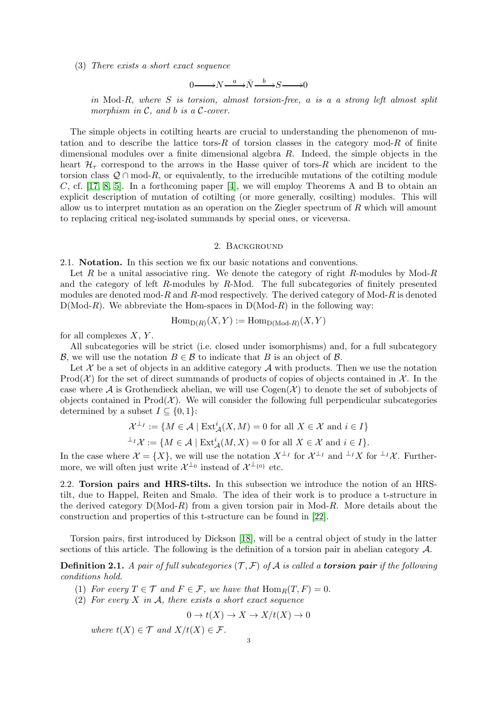(3) There exists a short exact sequence

$$
0 \longrightarrow N \xrightarrow{a} \bar{N} \xrightarrow{b} S \longrightarrow 0
$$

in Mod-R, where  $S$  is torsion, almost torsion-free, a is a a strong left almost split morphism in  $C$ , and b is a  $C$ -cover.

The simple objects in cotilting hearts are crucial to understanding the phenomenon of mutation and to describe the lattice tors-R of torsion classes in the category mod-R of finite dimensional modules over a finite dimensional algebra  $R$ . Indeed, the simple objects in the heart  $\mathcal{H}_{\tau}$  correspond to the arrows in the Hasse quiver of tors-R which are incident to the torsion class  $Q \cap \text{mod-}R$ , or equivalently, to the irreducible mutations of the cotilting module C, cf.  $[17, 8, 5]$  $[17, 8, 5]$  $[17, 8, 5]$ . In a forthcoming paper  $[4]$ , we will employ Theorems A and B to obtain an explicit description of mutation of cotilting (or more generally, cosilting) modules. This will allow us to interpret mutation as an operation on the Ziegler spectrum of R which will amount to replacing critical neg-isolated summands by special ones, or viceversa.

#### 2. Background

2.1. Notation. In this section we fix our basic notations and conventions.

Let R be a unital associative ring. We denote the category of right R-modules by Mod-R and the category of left R-modules by R-Mod. The full subcategories of finitely presented modules are denoted mod-R and R-mod respectively. The derived category of  $Mod-R$  is denoted  $D(Mod-R)$ . We abbreviate the Hom-spaces in  $D(Mod-R)$  in the following way:

$$
\operatorname{Hom}_{\operatorname{D}(R)}(X,Y) := \operatorname{Hom}_{\operatorname{D}( \operatorname{Mod}\nolimits\text{-}R)}(X,Y)
$$

for all complexes  $X, Y$ .

All subcategories will be strict (i.e. closed under isomorphisms) and, for a full subcategory B, we will use the notation  $B \in \mathcal{B}$  to indicate that B is an object of B.

Let  $\mathcal X$  be a set of objects in an additive category  $\mathcal A$  with products. Then we use the notation Prod( $\mathcal{X}$ ) for the set of direct summands of products of copies of objects contained in  $\mathcal{X}$ . In the case where  $A$  is Grothendieck abelian, we will use  $Cogen(X)$  to denote the set of subobjects of objects contained in  $\text{Prod}(\mathcal{X})$ . We will consider the following full perpendicular subcategories determined by a subset  $I \subseteq \{0,1\}$ :

$$
\mathcal{X}^{\perp_I} := \{ M \in \mathcal{A} \mid \text{Ext}^i_{\mathcal{A}}(X, M) = 0 \text{ for all } X \in \mathcal{X} \text{ and } i \in I \}
$$

$$
^{\perp_I} \mathcal{X} := \{ M \in \mathcal{A} \mid \text{Ext}^i_{\mathcal{A}}(M, X) = 0 \text{ for all } X \in \mathcal{X} \text{ and } i \in I \}.
$$

In the case where  $\mathcal{X} = \{X\}$ , we will use the notation  $X^{\perp_I}$  for  $\mathcal{X}^{\perp_I}$  and  $\perp I X$  for  $\perp I X$ . Furthermore, we will often just write  $\mathcal{X}^{\perp_0}$  instead of  $\mathcal{X}^{\perp_{0}}$  etc.

2.2. Torsion pairs and HRS-tilts. In this subsection we introduce the notion of an HRStilt, due to Happel, Reiten and Smalø. The idea of their work is to produce a t-structure in the derived category  $D(\text{Mod-}R)$  from a given torsion pair in Mod-R. More details about the construction and properties of this t-structure can be found in [\[22\]](#page-26-2).

Torsion pairs, first introduced by Dickson [\[18\]](#page-26-5), will be a central object of study in the latter sections of this article. The following is the definition of a torsion pair in abelian category A.

**Definition 2.1.** A pair of full subcategories  $(\mathcal{T}, \mathcal{F})$  of A is called a **torsion pair** if the following conditions hold.

- (1) For every  $T \in \mathcal{T}$  and  $F \in \mathcal{F}$ , we have that  $\text{Hom}_R(T, F) = 0$ .
- (2) For every X in A, there exists a short exact sequence

$$
0 \to t(X) \to X \to X/t(X) \to 0
$$

where  $t(X) \in \mathcal{T}$  and  $X/t(X) \in \mathcal{F}$ .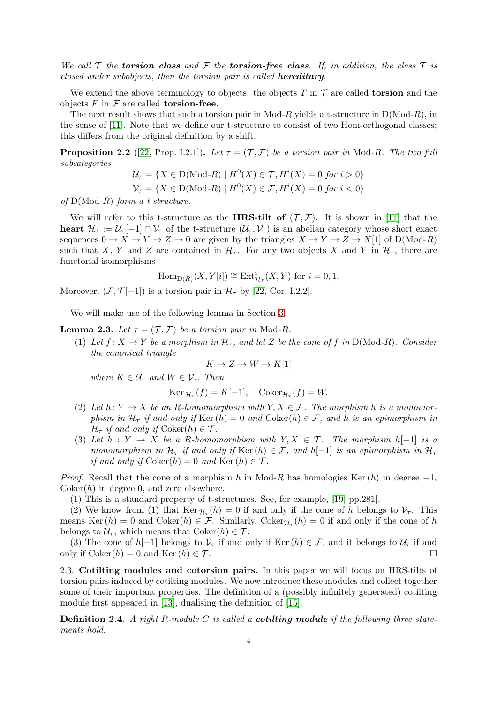We call T the torsion class and F the torsion-free class. If, in addition, the class T is closed under subobjects, then the torsion pair is called **hereditary**.

We extend the above terminology to objects: the objects T in  $\mathcal T$  are called **torsion** and the objects  $F$  in  $\mathcal F$  are called **torsion-free**.

The next result shows that such a torsion pair in Mod-R yields a t-structure in  $D(\text{Mod-}R)$ , in the sense of [\[11\]](#page-26-0). Note that we define our t-structure to consist of two Hom-orthogonal classes; this differs from the original definition by a shift.

**Proposition 2.2** ([\[22,](#page-26-2) Prop. I.2.1]). Let  $\tau = (\mathcal{T}, \mathcal{F})$  be a torsion pair in Mod-R. The two full subcategories

$$
\mathcal{U}_{\tau} = \{ X \in D(\text{Mod-}R) \mid H^0(X) \in \mathcal{T}, H^i(X) = 0 \text{ for } i > 0 \}
$$

$$
\mathcal{V}_{\tau} = \{ X \in D(\text{Mod-}R) \mid H^0(X) \in \mathcal{F}, H^i(X) = 0 \text{ for } i < 0 \}
$$

of  $D(Mod-R)$  form a t-structure.

We will refer to this t-structure as the **HRS-tilt of**  $(\mathcal{T}, \mathcal{F})$ . It is shown in [\[11\]](#page-26-0) that the heart  $\mathcal{H}_{\tau} := \mathcal{U}_{\tau}[-1] \cap \mathcal{V}_{\tau}$  of the t-structure  $(\mathcal{U}_{\tau}, \mathcal{V}_{\tau})$  is an abelian category whose short exact sequences  $0 \to X \to Y \to Z \to 0$  are given by the triangles  $X \to Y \to Z \to X[1]$  of  $D(\text{Mod-}R)$ such that X, Y and Z are contained in  $\mathcal{H}_{\tau}$ . For any two objects X and Y in  $\mathcal{H}_{\tau}$ , there are functorial isomorphisms

 $\text{Hom}_{D(R)}(X, Y[i]) \cong \text{Ext}^i_{\mathcal{H}_{\tau}}(X, Y)$  for  $i = 0, 1$ .

Moreover,  $(\mathcal{F}, \mathcal{T}[-1])$  is a torsion pair in  $\mathcal{H}_{\tau}$  by [\[22,](#page-26-2) Cor. I.2.2].

We will make use of the following lemma in Section [3.](#page-6-1)

<span id="page-3-1"></span>**Lemma 2.3.** Let  $\tau = (\mathcal{T}, \mathcal{F})$  be a torsion pair in Mod-R.

(1) Let  $f: X \to Y$  be a morphism in  $\mathcal{H}_{\tau}$ , and let Z be the cone of f in D(Mod-R). Consider the canonical triangle

$$
K \to Z \to W \to K[1]
$$

where  $K \in \mathcal{U}_{\tau}$  and  $W \in \mathcal{V}_{\tau}$ . Then

$$
\operatorname{Ker} \mathcal{H}_\tau(f) = K[-1], \quad \operatorname{Coker} \mathcal{H}_\tau(f) = W.
$$

- (2) Let  $h: Y \to X$  be an R-homomorphism with  $Y, X \in \mathcal{F}$ . The morphism h is a monomorphism in  $\mathcal{H}_{\tau}$  if and only if Ker  $(h) = 0$  and Coker $(h) \in \mathcal{F}$ , and h is an epimorphism in  $\mathcal{H}_{\tau}$  if and only if  $Coker(h) \in \mathcal{T}$ .
- (3) Let  $h: Y \to X$  be a R-homomorphism with  $Y, X \in \mathcal{T}$ . The morphism  $h[-1]$  is a monomorphism in  $\mathcal{H}_{\tau}$  if and only if Ker  $(h) \in \mathcal{F}$ , and  $h[-1]$  is an epimorphism in  $\mathcal{H}_{\tau}$ if and only if  $Coker(h) = 0$  and  $Ker(h) \in \mathcal{T}$ .

*Proof.* Recall that the cone of a morphism h in Mod-R has homologies Ker (h) in degree  $-1$ ,  $Coker(h)$  in degree 0, and zero elsewhere.

(1) This is a standard property of t-structures. See, for example, [\[19,](#page-26-6) pp.281].

(2) We know from (1) that  $\text{Ker } \mathcal{H}_{\tau}(h) = 0$  if and only if the cone of h belongs to  $\mathcal{V}_{\tau}$ . This means Ker  $(h) = 0$  and Coker $(h) \in \mathcal{F}$ . Similarly, Coker $\mathcal{H}_{\tau}(h) = 0$  if and only if the cone of h belongs to  $\mathcal{U}_{\tau}$ , which means that  $Coker(h) \in \mathcal{T}$ .

(3) The cone of h[−1] belongs to  $\mathcal{V}_{\tau}$  if and only if Ker (h)  $\in \mathcal{F}$ , and it belongs to  $\mathcal{U}_{\tau}$  if and only if  $\text{Coker}(h) = 0$  and  $\text{Ker}(h) \in \mathcal{T}$ .

2.3. Cotilting modules and cotorsion pairs. In this paper we will focus on HRS-tilts of torsion pairs induced by cotilting modules. We now introduce these modules and collect together some of their important properties. The definition of a (possibly infinitely generated) cotilting module first appeared in [\[13\]](#page-26-7), dualising the definition of [\[15\]](#page-26-8).

<span id="page-3-0"></span>**Definition 2.4.** A right R-module C is called a **cotiling module** if the following three statements hold.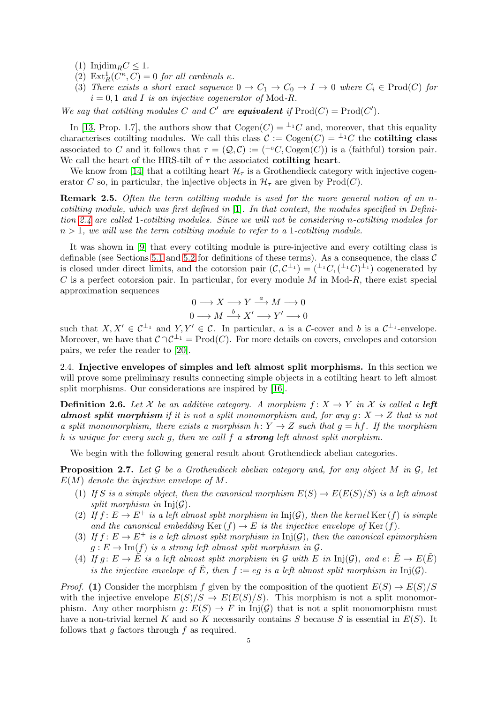(1) Injdim<sub>R</sub> $C \leq 1$ .

- (2)  $\text{Ext}^1_R(C^{\kappa}, C) = 0$  for all cardinals  $\kappa$ .
- (3) There exists a short exact sequence  $0 \to C_1 \to C_0 \to I \to 0$  where  $C_i \in \text{Prod}(C)$  for  $i = 0, 1$  and I is an injective cogenerator of Mod-R.

We say that cotiling modules C and C' are **equivalent** if  $\text{Prod}(C) = \text{Prod}(C')$ .

In [\[13,](#page-26-7) Prop. 1.7], the authors show that  $Cogen(C) = {}^{\perp_1}C$  and, moreover, that this equality characterises cotilting modules. We call this class  $\mathcal{C} := \text{Cogen}(C) = {}^{\perp_1}C$  the **cotilting class** associated to C and it follows that  $\tau = (Q, C) := ({}^{\perp_0}C, Cogen(C))$  is a (faithful) torsion pair. We call the heart of the HRS-tilt of  $\tau$  the associated **cotilting heart**.

We know from [\[14\]](#page-26-3) that a cotilting heart  $\mathcal{H}_{\tau}$  is a Grothendieck category with injective cogenerator C so, in particular, the injective objects in  $\mathcal{H}_{\tau}$  are given by Prod(C).

Remark 2.5. Often the term cotiling module is used for the more general notion of an ncotilting module, which was first defined in [\[1\]](#page-25-3). In that context, the modules specified in Definition [2.4](#page-3-0) are called 1-cotilting modules. Since we will not be considering n-cotilting modules for  $n > 1$ , we will use the term cotiling module to refer to a 1-cotiling module.

It was shown in [\[9\]](#page-26-9) that every cotilting module is pure-injective and every cotilting class is definable (see Sections [5.1](#page-11-0) and [5.2](#page-12-0) for definitions of these terms). As a consequence, the class  $\mathcal C$ is closed under direct limits, and the cotorsion pair  $(C, C^{\perp_1}) = (\perp C, (\perp C)^{\perp_1})$  cogenerated by  $C$  is a perfect cotorsion pair. In particular, for every module  $M$  in Mod- $R$ , there exist special approximation sequences

$$
0 \longrightarrow X \longrightarrow Y \stackrel{a}{\longrightarrow} M \longrightarrow 0
$$
  

$$
0 \longrightarrow M \stackrel{b}{\longrightarrow} X' \longrightarrow Y' \longrightarrow 0
$$

such that  $X, X' \in C^{\perp_1}$  and  $Y, Y' \in C$ . In particular, a is a C-cover and b is a  $C^{\perp_1}$ -envelope. Moreover, we have that  $C \cap C^{\perp_1} = \text{Prod}(C)$ . For more details on covers, envelopes and cotorsion pairs, we refer the reader to [\[20\]](#page-26-10).

2.4. Injective envelopes of simples and left almost split morphisms. In this section we will prove some preliminary results connecting simple objects in a cotilting heart to left almost split morphisms. Our considerations are inspired by [\[16\]](#page-26-11).

<span id="page-4-0"></span>**Definition 2.6.** Let X be an additive category. A morphism  $f: X \to Y$  in X is called a left almost split morphism if it is not a split monomorphism and, for any  $g: X \to Z$  that is not a split monomorphism, there exists a morphism  $h: Y \to Z$  such that  $g = hf$ . If the morphism h is unique for every such g, then we call  $f$  a **strong** left almost split morphism.

We begin with the following general result about Grothendieck abelian categories.

<span id="page-4-1"></span>**Proposition 2.7.** Let  $\mathcal G$  be a Grothendieck abelian category and, for any object M in  $\mathcal G$ , let  $E(M)$  denote the injective envelope of M.

- (1) If S is a simple object, then the canonical morphism  $E(S) \to E(E(S)/S)$  is a left almost split morphism in  $Inj(\mathcal{G})$ .
- (2) If  $f: E \to E^+$  is a left almost split morphism in  $\text{Inj}(\mathcal{G})$ , then the kernel Ker (f) is simple and the canonical embedding  $\text{Ker}(f) \to E$  is the injective envelope of  $\text{Ker}(f)$ .
- (3) If  $f: E \to E^+$  is a left almost split morphism in  $Inj(\mathcal{G})$ , then the canonical epimorphism  $g: E \to \text{Im}(f)$  is a strong left almost split morphism in  $\mathcal{G}$ .
- (4) If  $g: E \to \tilde{E}$  is a left almost split morphism in G with E in Inj(G), and  $e: \tilde{E} \to E(\tilde{E})$ is the injective envelope of  $\tilde{E}$ , then  $f := eg$  is a left almost split morphism in  $Inj(\mathcal{G})$ .

*Proof.* (1) Consider the morphism f given by the composition of the quotient  $E(S) \rightarrow E(S)/S$ with the injective envelope  $E(S)/S \to E(E(S)/S)$ . This morphism is not a split monomorphism. Any other morphism  $q: E(S) \to F$  in Inj(G) that is not a split monomorphism must have a non-trivial kernel K and so K necessarily contains S because S is essential in  $E(S)$ . It follows that  $q$  factors through  $f$  as required.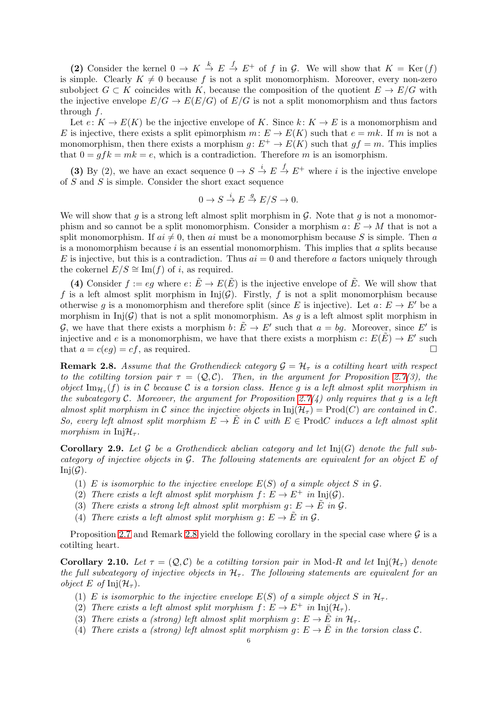(2) Consider the kernel  $0 \to K \stackrel{k}{\to} E \stackrel{f}{\to} E^+$  of f in G. We will show that  $K = \text{Ker}(f)$ is simple. Clearly  $K \neq 0$  because f is not a split monomorphism. Moreover, every non-zero subobject  $G \subset K$  coincides with K, because the composition of the quotient  $E \to E/G$  with the injective envelope  $E/G \to E(E/G)$  of  $E/G$  is not a split monomorphism and thus factors through f.

Let  $e: K \to E(K)$  be the injective envelope of K. Since  $k: K \to E$  is a monomorphism and E is injective, there exists a split epimorphism  $m: E \to E(K)$  such that  $e = mk$ . If m is not a monomorphism, then there exists a morphism  $g: E^+ \to E(K)$  such that  $gf = m$ . This implies that  $0 = qfk = mk = e$ , which is a contradiction. Therefore m is an isomorphism.

(3) By (2), we have an exact sequence  $0 \to S \stackrel{i}{\to} E \stackrel{f}{\to} E^+$  where *i* is the injective envelope of S and S is simple. Consider the short exact sequence

$$
0 \to S \stackrel{i}{\to} E \stackrel{g}{\to} E/S \to 0.
$$

We will show that q is a strong left almost split morphism in  $\mathcal G$ . Note that q is not a monomorphism and so cannot be a split monomorphism. Consider a morphism  $a: E \to M$  that is not a split monomorphism. If  $ai \neq 0$ , then ai must be a monomorphism because S is simple. Then a is a monomorphism because  $i$  is an essential monomorphism. This implies that  $a$  splits because E is injective, but this is a contradiction. Thus  $ai = 0$  and therefore a factors uniquely through the cokernel  $E/S \cong \text{Im}(f)$  of i, as required.

(4) Consider  $f := eg$  where  $e: \tilde{E} \to E(\tilde{E})$  is the injective envelope of  $\tilde{E}$ . We will show that f is a left almost split morphism in  $Inj(\mathcal{G})$ . Firstly, f is not a split monomorphism because otherwise g is a monomorphism and therefore split (since E is injective). Let  $a: E \to E'$  be a morphism in  $Inj(\mathcal{G})$  that is not a split monomorphism. As g is a left almost split morphism in G, we have that there exists a morphism  $b: \tilde{E} \to E'$  such that  $a = bg$ . Moreover, since E' is injective and e is a monomorphism, we have that there exists a morphism  $c: E(\tilde{E}) \to E'$  such that  $a = c(eq) = cf$ , as required.

<span id="page-5-0"></span>**Remark 2.8.** Assume that the Grothendieck category  $\mathcal{G} = \mathcal{H}_{\tau}$  is a cotiling heart with respect to the cotiling torsion pair  $\tau = (Q, C)$ . Then, in the argument for Proposition [2.7\(](#page-4-1)3), the object  $\text{Im}_{\mathcal{H}_{\tau}}(f)$  is in C because C is a torsion class. Hence g is a left almost split morphism in the subcategory C. Moreover, the argument for Proposition [2.7\(](#page-4-1)4) only requires that g is a left almost split morphism in C since the injective objects in  $\text{Inj}(\mathcal{H}_{\tau}) = \text{Prod}(C)$  are contained in C. So, every left almost split morphism  $E \to \tilde{E}$  in C with  $E \in \text{Prod}$  induces a left almost split morphism in  $Inj\mathcal{H}_{\tau}$ .

<span id="page-5-1"></span>**Corollary 2.9.** Let G be a Grothendieck abelian category and let  $\text{Inj}(G)$  denote the full subcategory of injective objects in G. The following statements are equivalent for an object E of  $Inj(\mathcal{G})$ .

- (1) E is isomorphic to the injective envelope  $E(S)$  of a simple object S in  $\mathcal G$ .
- (2) There exists a left almost split morphism  $f: E \to E^+$  in  $Inj(\mathcal{G})$ .
- (3) There exists a strong left almost split morphism  $q: E \to \tilde{E}$  in  $\mathcal{G}$ .
- (4) There exists a left almost split morphism  $g: E \to \tilde{E}$  in  $\mathcal{G}$ .

Proposition [2.7](#page-4-1) and Remark [2.8](#page-5-0) yield the following corollary in the special case where  $\mathcal G$  is a cotilting heart.

**Corollary 2.10.** Let  $\tau = (Q, C)$  be a cotiling torsion pair in Mod-R and let  $\text{Inj}(\mathcal{H}_{\tau})$  denote the full subcategory of injective objects in  $H_{\tau}$ . The following statements are equivalent for an *object* E of Inj $(\mathcal{H}_{\tau}).$ 

- (1) E is isomorphic to the injective envelope  $E(S)$  of a simple object S in  $\mathcal{H}_{\tau}$ .
- (2) There exists a left almost split morphism  $f: E \to E^+$  in  $\text{Inj}(\mathcal{H}_\tau)$ .
- (3) There exists a (strong) left almost split morphism  $g: E \to \tilde{E}$  in  $\mathcal{H}_{\tau}$ .
- (4) There exists a (strong) left almost split morphism  $q: E \to \overline{E}$  in the torsion class C.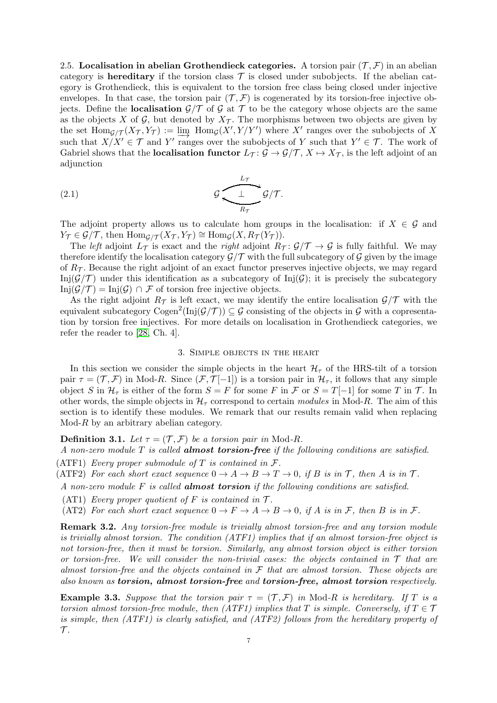2.5. Localisation in abelian Grothendieck categories. A torsion pair  $(\mathcal{T}, \mathcal{F})$  in an abelian category is **hereditary** if the torsion class  $\mathcal T$  is closed under subobjects. If the abelian category is Grothendieck, this is equivalent to the torsion free class being closed under injective envelopes. In that case, the torsion pair  $(\mathcal{T}, \mathcal{F})$  is cogenerated by its torsion-free injective objects. Define the **localisation**  $\mathcal{G}/\mathcal{T}$  of  $\mathcal{G}$  at  $\mathcal{T}$  to be the category whose objects are the same as the objects X of G, but denoted by  $X_{\mathcal{T}}$ . The morphisms between two objects are given by the set  $\text{Hom}_{\mathcal{G}/\mathcal{T}}(X_{\mathcal{T}}, Y_{\mathcal{T}}) := \lim_{\epsilon \to 0^+} \text{Hom}_{\mathcal{G}}(X', Y/Y')$  where X' ranges over the subobjects of X such that  $X/X' \in \mathcal{T}$  and  $Y'$  ranges over the subobjects of Y such that  $Y' \in \mathcal{T}$ . The work of Gabriel shows that the **localisation functor**  $L_{\mathcal{T}}: \mathcal{G} \to \mathcal{G}/\mathcal{T}, X \mapsto X_{\mathcal{T}}$ , is the left adjoint of an adjunction

(2.1) G L<sup>T</sup> ⊥ G/T . R<sup>T</sup> f

The adjoint property allows us to calculate hom groups in the localisation: if  $X \in \mathcal{G}$  and  $Y_{\mathcal{T}} \in \mathcal{G}/\mathcal{T}$ , then  $\text{Hom}_{\mathcal{G}/\mathcal{T}}(X_{\mathcal{T}}, Y_{\mathcal{T}}) \cong \text{Hom}_{\mathcal{G}}(X, R_{\mathcal{T}}(Y_{\mathcal{T}})).$ 

The left adjoint  $L_{\mathcal{T}}$  is exact and the right adjoint  $R_{\mathcal{T}}: \mathcal{G}/\mathcal{T} \to \mathcal{G}$  is fully faithful. We may therefore identify the localisation category  $\mathcal{G}/\mathcal{T}$  with the full subcategory of  $\mathcal{G}$  given by the image of  $R_{\mathcal{T}}$ . Because the right adjoint of an exact functor preserves injective objects, we may regard  $Inj(\mathcal{G}/\mathcal{T})$  under this identification as a subcategory of  $Inj(\mathcal{G})$ ; it is precisely the subcategory Inj $(\mathcal{G}/\mathcal{T}) = \text{Inj}(\mathcal{G}) \cap \mathcal{F}$  of torsion free injective objects.

As the right adjoint  $R_{\tau}$  is left exact, we may identify the entire localisation  $\mathcal{G}/\mathcal{T}$  with the equivalent subcategory  $\text{Cogen}^2(\text{Inj}(\mathcal{G}/\mathcal{T})) \subseteq \mathcal{G}$  consisting of the objects in  $\mathcal{G}$  with a copresentation by torsion free injectives. For more details on localisation in Grothendieck categories, we refer the reader to [\[28,](#page-26-12) Ch. 4].

### 3. Simple objects in the heart

<span id="page-6-1"></span>In this section we consider the simple objects in the heart  $\mathcal{H}_{\tau}$  of the HRS-tilt of a torsion pair  $\tau = (\mathcal{T}, \mathcal{F})$  in Mod-R. Since  $(\mathcal{F}, \mathcal{T}[-1])$  is a torsion pair in  $\mathcal{H}_{\tau}$ , it follows that any simple object S in  $\mathcal{H}_{\tau}$  is either of the form  $S = F$  for some F in  $\mathcal{F}$  or  $S = T[-1]$  for some T in  $\mathcal{T}$ . In other words, the simple objects in  $\mathcal{H}_{\tau}$  correspond to certain modules in Mod-R. The aim of this section is to identify these modules. We remark that our results remain valid when replacing  $\operatorname{Mod-}R$  by an arbitrary abelian category.

# <span id="page-6-0"></span>**Definition 3.1.** Let  $\tau = (\mathcal{T}, \mathcal{F})$  be a torsion pair in Mod-R.

A non-zero module T is called **almost torsion-free** if the following conditions are satisfied.

(ATF1) Every proper submodule of T is contained in  $\mathcal{F}.$ 

(ATF2) For each short exact sequence  $0 \to A \to B \to T \to 0$ , if B is in T, then A is in T.

A non-zero module  $F$  is called **almost torsion** if the following conditions are satisfied.

(AT1) Every proper quotient of F is contained in  $\mathcal{T}$ .

(AT2) For each short exact sequence  $0 \to F \to A \to B \to 0$ , if A is in F, then B is in F.

Remark 3.2. Any torsion-free module is trivially almost torsion-free and any torsion module is trivially almost torsion. The condition (ATF1) implies that if an almost torsion-free object is not torsion-free, then it must be torsion. Similarly, any almost torsion object is either torsion or torsion-free. We will consider the non-trivial cases: the objects contained in  $\mathcal T$  that are almost torsion-free and the objects contained in  $\mathcal F$  that are almost torsion. These objects are also known as torsion, almost torsion-free and torsion-free, almost torsion respectively.

<span id="page-6-2"></span>**Example 3.3.** Suppose that the torsion pair  $\tau = (\mathcal{T}, \mathcal{F})$  in Mod-R is hereditary. If T is a torsion almost torsion-free module, then (ATF1) implies that T is simple. Conversely, if  $T \in \mathcal{T}$ is simple, then (ATF1) is clearly satisfied, and (ATF2) follows from the hereditary property of  $\mathcal{T}$ .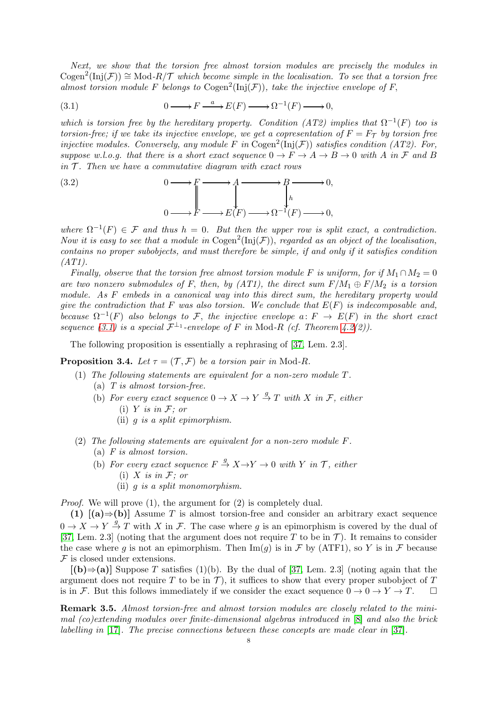Next, we show that the torsion free almost torsion modules are precisely the modules in  $\mathrm{Cogen}^2(\mathrm{Inj}(\mathcal{F})) \cong \mathrm{Mod}\text{-}R/\mathcal{T}$  which become simple in the localisation. To see that a torsion free almost torsion module F belongs to  $\mathrm{Cogen}^2(\mathrm{Inj}(\mathcal{F}))$ , take the injective envelope of F,

<span id="page-7-0"></span>(3.1) 
$$
0 \longrightarrow F \xrightarrow{a} E(F) \longrightarrow \Omega^{-1}(F) \longrightarrow 0,
$$

which is torsion free by the hereditary property. Condition (AT2) implies that  $\Omega^{-1}(F)$  too is torsion-free; if we take its injective envelope, we get a copresentation of  $F = F<sub>T</sub>$  by torsion free injective modules. Conversely, any module F in Cogen<sup>2</sup>(Inj(F)) satisfies condition (AT2). For, suppose w.l.o.g. that there is a short exact sequence  $0 \to F \to A \to B \to 0$  with A in F and B in  $\mathcal T$ . Then we have a commutative diagram with exact rows

(3.2) 
$$
0 \longrightarrow F \longrightarrow A \longrightarrow B \longrightarrow 0,
$$

$$
0 \longrightarrow F \longrightarrow E(F) \longrightarrow \Omega^{-1}(F) \longrightarrow 0,
$$

where  $\Omega^{-1}(F) \in \mathcal{F}$  and thus  $h = 0$ . But then the upper row is split exact, a contradiction. Now it is easy to see that a module in  $\text{Cogen}^2(\text{Inj}(\mathcal{F}))$ , regarded as an object of the localisation, contains no proper subobjects, and must therefore be simple, if and only if it satisfies condition (AT1).

Finally, observe that the torsion free almost torsion module F is uniform, for if  $M_1 \cap M_2 = 0$ are two nonzero submodules of F, then, by  $(AT1)$ , the direct sum  $F/M_1 \oplus F/M_2$  is a torsion module. As F embeds in a canonical way into this direct sum, the hereditary property would give the contradiction that F was also torsion. We conclude that  $E(F)$  is indecomposable and, because  $\Omega^{-1}(F)$  also belongs to F, the injective envelope  $a\colon F \to E(F)$  in the short exact sequence [\(3.1\)](#page-7-0) is a special  $\mathcal{F}^{\perp_1}$ -envelope of F in Mod-R (cf. Theorem [4.2\(](#page-9-0)2)).

The following proposition is essentially a rephrasing of [\[37,](#page-26-13) Lem. 2.3].

<span id="page-7-1"></span>**Proposition 3.4.** Let  $\tau = (\mathcal{T}, \mathcal{F})$  be a torsion pair in Mod-R.

- (1) The following statements are equivalent for a non-zero module T.
	- (a) T is almost torsion-free.
	- (b) For every exact sequence  $0 \to X \to Y \stackrel{g}{\to} T$  with X in F, either (i)  $Y$  is in  $F$ ; or
		- (ii) g is a split epimorphism.
- (2) The following statements are equivalent for a non-zero module F. (a) F is almost torsion.
	- (b) For every exact sequence  $F \stackrel{g}{\rightarrow} X \rightarrow Y \rightarrow 0$  with Y in T, either (i)  $X$  is in  $F$ ; or
		- (ii) g is a split monomorphism.

Proof. We will prove (1), the argument for (2) is completely dual.

(1)  $[(a) \Rightarrow (b)]$  Assume T is almost torsion-free and consider an arbitrary exact sequence  $0 \to X \to Y \stackrel{g}{\to} T$  with X in F. The case where g is an epimorphism is covered by the dual of [\[37,](#page-26-13) Lem. 2.3] (noting that the argument does not require T to be in T). It remains to consider the case where g is not an epimorphism. Then  $\text{Im}(q)$  is in F by (ATF1), so Y is in F because  $F$  is closed under extensions.

 $[(b) \Rightarrow (a)]$  Suppose T satisfies (1)(b). By the dual of [\[37,](#page-26-13) Lem. 2.3] (noting again that the argument does not require T to be in T), it suffices to show that every proper subobject of T is in F. But this follows immediately if we consider the exact sequence  $0 \to 0 \to Y \to T$ .

<span id="page-7-2"></span>Remark 3.5. Almost torsion-free and almost torsion modules are closely related to the minimal (co)extending modules over finite-dimensional algebras introduced in [\[8\]](#page-25-0) and also the brick labelling in [\[17\]](#page-26-4). The precise connections between these concepts are made clear in [\[37\]](#page-26-13).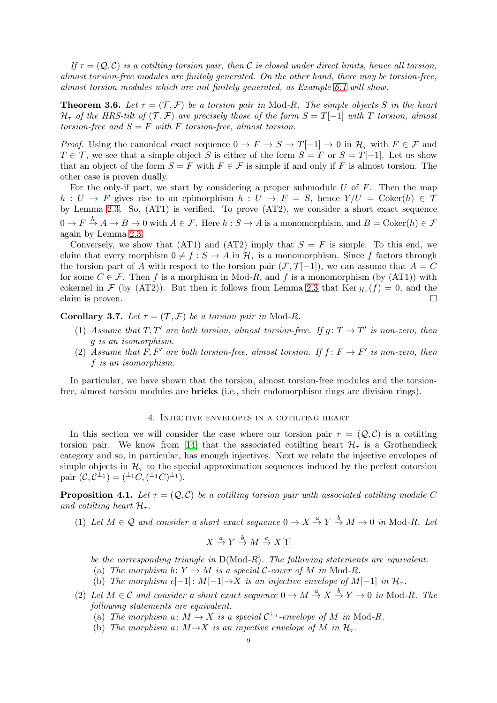If  $\tau = (Q, C)$  is a cotiling torsion pair, then C is closed under direct limits, hence all torsion, almost torsion-free modules are finitely generated. On the other hand, there may be torsion-free, almost torsion modules which are not finitely generated, as Example [6.1](#page-19-0) will show.

<span id="page-8-0"></span>**Theorem 3.6.** Let  $\tau = (\mathcal{T}, \mathcal{F})$  be a torsion pair in Mod-R. The simple objects S in the heart  $\mathcal{H}_{\tau}$  of the HRS-tilt of  $(\mathcal{T}, \mathcal{F})$  are precisely those of the form  $S = T[-1]$  with T torsion, almost torsion-free and  $S = F$  with F torsion-free, almost torsion.

*Proof.* Using the canonical exact sequence  $0 \to F \to S \to T[-1] \to 0$  in  $\mathcal{H}_{\tau}$  with  $F \in \mathcal{F}$  and  $T \in \mathcal{T}$ , we see that a simple object S is either of the form  $S = F$  or  $S = T[-1]$ . Let us show that an object of the form  $S = F$  with  $F \in \mathcal{F}$  is simple if and only if F is almost torsion. The other case is proven dually.

For the only-if part, we start by considering a proper submodule  $U$  of  $F$ . Then the map  $h: U \to F$  gives rise to an epimorphism  $h: U \to F = S$ , hence  $Y/U = \text{Coker}(h) \in \mathcal{T}$ by Lemma [2.3.](#page-3-1) So, (AT1) is verified. To prove (AT2), we consider a short exact sequence  $0 \to F \stackrel{h}{\to} A \to B \to 0$  with  $A \in \mathcal{F}$ . Here  $h : S \to A$  is a monomorphism, and  $B = \mathrm{Coker}(h) \in \mathcal{F}$ again by Lemma [2.3.](#page-3-1)

Conversely, we show that  $(AT1)$  and  $(AT2)$  imply that  $S = F$  is simple. To this end, we claim that every morphism  $0 \neq f : S \to A$  in  $\mathcal{H}_{\tau}$  is a monomorphism. Since f factors through the torsion part of A with respect to the torsion pair  $(F, \mathcal{T}[-1])$ , we can assume that  $A = C$ for some  $C \in \mathcal{F}$ . Then f is a morphism in Mod-R, and f is a monomorphism (by (AT1)) with cokernel in  $\mathcal F$  (by (AT2)). But then it follows from Lemma [2.3](#page-3-1) that  $\text{Ker}_{\mathcal H_\tau}(f) = 0$ , and the claim is proven.  $\Box$ 

<span id="page-8-3"></span>**Corollary 3.7.** Let  $\tau = (\mathcal{T}, \mathcal{F})$  be a torsion pair in Mod-R.

- (1) Assume that T, T' are both torsion, almost torsion-free. If  $g: T \to T'$  is non-zero, then g is an isomorphism.
- (2) Assume that F, F' are both torsion-free, almost torsion. If  $f: F \to F'$  is non-zero, then f is an isomorphism.

In particular, we have shown that the torsion, almost torsion-free modules and the torsionfree, almost torsion modules are **bricks** (i.e., their endomorphism rings are division rings).

# 4. Injective envelopes in a cotilting heart

<span id="page-8-2"></span>In this section we will consider the case where our torsion pair  $\tau = (Q, C)$  is a cotilting torsion pair. We know from [\[14\]](#page-26-3) that the associated cotilting heart  $\mathcal{H}_{\tau}$  is a Grothendieck category and so, in particular, has enough injectives. Next we relate the injective envelopes of simple objects in  $\mathcal{H}_{\tau}$  to the special approximation sequences induced by the perfect cotorsion pair  $(C, C^{\perp_1}) = (\perp^{\perp_1} C, (\perp^{\perp_1} C)^{\perp_1}).$ 

<span id="page-8-1"></span>**Proposition 4.1.** Let  $\tau = (Q, C)$  be a cotiling torsion pair with associated cotiling module C and cotiling heart  $\mathcal{H}_{\tau}$ .

(1) Let  $M \in \mathcal{Q}$  and consider a short exact sequence  $0 \to X \stackrel{a}{\to} Y \stackrel{b}{\to} M \to 0$  in Mod-R. Let

$$
X \stackrel{a}{\to} Y \stackrel{b}{\to} M \stackrel{c}{\to} X[1]
$$

be the corresponding triangle in  $D(\text{Mod-}R)$ . The following statements are equivalent.

- (a) The morphism b:  $Y \to M$  is a special C-cover of M in Mod-R.
- (b) The morphism c[−1]:  $M[-1] \rightarrow X$  is an injective envelope of  $M[-1]$  in  $\mathcal{H}_{\tau}$ .
- (2) Let  $M \in \mathcal{C}$  and consider a short exact sequence  $0 \to M \stackrel{a}{\to} X \stackrel{b}{\to} Y \to 0$  in Mod-R. The following statements are equivalent.
	- (a) The morphism  $a: M \to X$  is a special  $C^{\perp_1}$ -envelope of M in Mod-R.
	- (b) The morphism  $a: M \rightarrow X$  is an injective envelope of M in  $\mathcal{H}_{\tau}$ .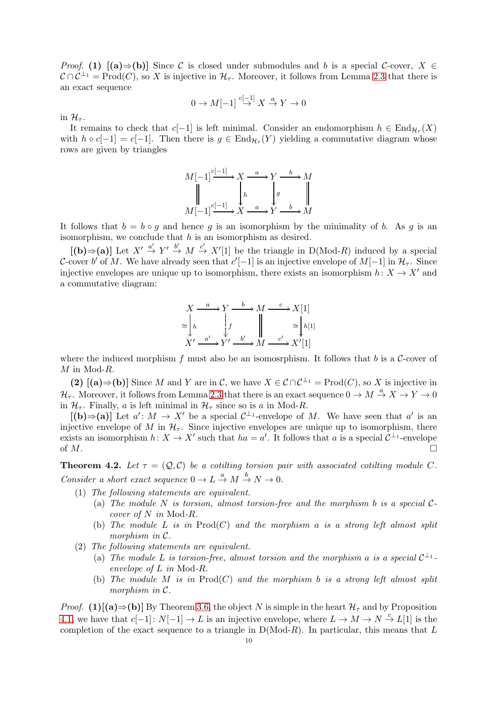*Proof.* (1)  $[(a) \Rightarrow (b)]$  Since C is closed under submodules and b is a special C-cover,  $X \in$  $C \cap C^{\perp_1} = \text{Prod}(C)$ , so X is injective in  $\mathcal{H}_{\tau}$ . Moreover, it follows from Lemma [2.3](#page-3-1) that there is an exact sequence

$$
0 \to M[-1] \stackrel{c[-1]}{\to} X \stackrel{a}{\to} Y \to 0
$$

in  $\mathcal{H}_{\tau}$ .

It remains to check that  $c[-1]$  is left minimal. Consider an endomorphism  $h \in \text{End}_{\mathcal{H}_{\tau}}(X)$ with  $h \circ c[-1] = c[-1]$ . Then there is  $g \in \text{End}_{\mathcal{H}_{\tau}}(Y)$  yielding a commutative diagram whose rows are given by triangles

$$
M[-1] \xrightarrow{c[-1]} X \xrightarrow{a} Y \xrightarrow{b} M
$$
  

$$
\parallel \qquad \qquad \downarrow h \qquad \qquad \downarrow g
$$
  

$$
M[-1] \xleftarrow{c[-1]} X \xrightarrow{a} Y \xrightarrow{b} M
$$

It follows that  $b = b \circ q$  and hence q is an isomorphism by the minimality of b. As q is an isomorphism, we conclude that  $h$  is an isomorphism as desired.

 $[(\mathbf{b}) \Rightarrow (\mathbf{a})]$  Let  $X' \stackrel{a'}{\rightarrow} Y' \stackrel{b'}{\rightarrow} M \stackrel{c'}{\rightarrow} X'[1]$  be the triangle in D(Mod-R) induced by a special C-cover b' of M. We have already seen that  $c'[-1]$  is an injective envelope of  $M[-1]$  in  $\mathcal{H}_{\tau}$ . Since injective envelopes are unique up to isomorphism, there exists an isomorphism  $h: X \to X'$  and a commutative diagram:

$$
X \xrightarrow{a} Y \xrightarrow{b} M \xrightarrow{c} X[1]
$$
  
\n
$$
\cong \begin{bmatrix} h & f \\ h & f' \\ X' & \xrightarrow{a'} Y' \xrightarrow{b'} M & \xrightarrow{c'} X'[1] \end{bmatrix}
$$

where the induced morphism f must also be an isomosrphism. It follows that b is a  $\mathcal{C}$ -cover of  $M$  in Mod- $R$ .

(2)  $[(a) \Rightarrow (b)]$  Since M and Y are in C, we have  $X \in C \cap C^{\perp_1} = \text{Prod}(C)$ , so X is injective in  $\mathcal{H}_{\tau}$ . Moreover, it follows from Lemma [2.3](#page-3-1) that there is an exact sequence  $0 \to M \stackrel{a}{\to} X \to Y \to 0$ in  $\mathcal{H}_{\tau}$ . Finally, a is left minimal in  $\mathcal{H}_{\tau}$  since so is a in Mod-R.

 $[(\mathbf{b}) \Rightarrow (\mathbf{a})]$  Let  $a' : M \to X'$  be a special  $C^{\perp_1}$ -envelope of M. We have seen that  $a'$  is an injective envelope of M in  $\mathcal{H}_{\tau}$ . Since injective envelopes are unique up to isomorphism, there exists an isomorphism  $h: X \to X'$  such that  $ha = a'$ . It follows that a is a special  $\mathcal{C}^{\perp_1}$ -envelope of  $M$ .

<span id="page-9-0"></span>**Theorem 4.2.** Let  $\tau = (Q, C)$  be a cotiling torsion pair with associated cotiling module C. Consider a short exact sequence  $0 \to L \stackrel{a}{\to} M \stackrel{b}{\to} N \to 0$ .

- (1) The following statements are equivalent.
	- (a) The module N is torsion, almost torsion-free and the morphism b is a special  $C$ cover of N in Mod-R.
	- (b) The module L is in  $\text{Prod}(C)$  and the morphism a is a strong left almost split morphism in C.
- (2) The following statements are equivalent.
	- (a) The module L is torsion-free, almost torsion and the morphism a is a special  $\mathcal{C}^{\perp_1}$ . envelope of L in Mod-R.
	- (b) The module M is in  $\text{Prod}(C)$  and the morphism b is a strong left almost split morphism in C.

*Proof.* (1)[(a)⇒(b)] By Theorem [3.6,](#page-8-0) the object N is simple in the heart  $\mathcal{H}_{\tau}$  and by Proposition [4.1,](#page-8-1) we have that  $c[-1]: N[-1] \to L$  is an injective envelope, where  $L \to M \to N \stackrel{c}{\to} L[1]$  is the completion of the exact sequence to a triangle in  $D(Mod-R)$ . In particular, this means that L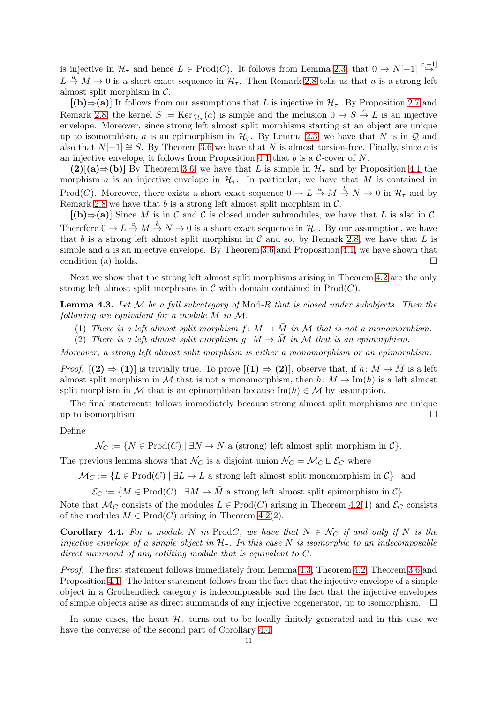is injective in  $\mathcal{H}_{\tau}$  and hence  $L \in \text{Prod}(C)$ . It follows from Lemma [2.3,](#page-3-1) that  $0 \to N[-1] \stackrel{c[-1]}{\to}$  $L \stackrel{a}{\rightarrow} M \rightarrow 0$  is a short exact sequence in  $H_{\tau}$ . Then Remark [2.8](#page-5-0) tells us that a is a strong left almost split morphism in C.

 $[(b) \Rightarrow (a)]$  It follows from our assumptions that L is injective in  $\mathcal{H}_{\tau}$ . By Proposition [2.7](#page-4-1) and Remark [2.8,](#page-5-0) the kernel  $S := \text{Ker}_{\mathcal{H}_{\tau}}(a)$  is simple and the inclusion  $0 \to S \stackrel{c}{\to} L$  is an injective envelope. Moreover, since strong left almost split morphisms starting at an object are unique up to isomorphism, a is an epimorphism in  $\mathcal{H}_{\tau}$ . By Lemma [2.3,](#page-3-1) we have that N is in Q and also that  $N[-1] \cong S$ . By Theorem [3.6](#page-8-0) we have that N is almost torsion-free. Finally, since c is an injective envelope, it follows from Proposition [4.1](#page-8-1) that  $b$  is a  $C$ -cover of  $N$ .

 $(2)$ [(a)⇒(b)] By Theorem [3.6,](#page-8-0) we have that L is simple in  $\mathcal{H}_{\tau}$  and by Proposition [4.1](#page-8-1) the morphism a is an injective envelope in  $\mathcal{H}_{\tau}$ . In particular, we have that M is contained in Prod(*C*). Moreover, there exists a short exact sequence  $0 \to L \stackrel{a}{\to} M \stackrel{b}{\to} N \to 0$  in  $\mathcal{H}_{\tau}$  and by Remark [2.8](#page-5-0) we have that  $b$  is a strong left almost split morphism in  $C$ .

 $[(b) \Rightarrow (a)]$  Since M is in C and C is closed under submodules, we have that L is also in C. Therefore  $0 \to L \stackrel{a}{\to} M \stackrel{b}{\to} N \to 0$  is a short exact sequence in  $\mathcal{H}_{\tau}$ . By our assumption, we have that b is a strong left almost split morphism in  $\mathcal C$  and so, by Remark [2.8,](#page-5-0) we have that  $L$  is simple and  $\alpha$  is an injective envelope. By Theorem [3.6](#page-8-0) and Proposition [4.1,](#page-8-1) we have shown that condition (a) holds.

Next we show that the strong left almost split morphisms arising in Theorem [4.2](#page-9-0) are the only strong left almost split morphisms in  $\mathcal C$  with domain contained in  $\text{Prod}(C)$ .

<span id="page-10-0"></span>**Lemma 4.3.** Let  $M$  be a full subcategory of Mod-R that is closed under subobjects. Then the following are equivalent for a module M in M.

- (1) There is a left almost split morphism  $f: M \to \overline{M}$  in M that is not a monomorphism.
- (2) There is a left almost split morphism  $g: M \to \overline{M}$  in M that is an epimorphism.

Moreover, a strong left almost split morphism is either a monomorphism or an epimorphism.

*Proof.*  $[(2) \Rightarrow (1)]$  is trivially true. To prove  $[(1) \Rightarrow (2)]$ , observe that, if  $h: M \to M$  is a left almost split morphism in M that is not a monomorphism, then  $h: M \to \text{Im}(h)$  is a left almost split morphism in M that is an epimorphism because  $\text{Im}(h) \in \mathcal{M}$  by assumption.

The final statements follows immediately because strong almost split morphisms are unique up to isomorphism.

### Define

 $\mathcal{N}_C := \{ N \in \text{Prod}(C) \mid \exists N \to \overline{N} \text{ a (strong) left almost split morphism in } C \}.$ 

The previous lemma shows that  $\mathcal{N}_C$  is a disjoint union  $\mathcal{N}_C = \mathcal{M}_C \sqcup \mathcal{E}_C$  where

 $\mathcal{M}_C := \{ L \in \text{Prod}(C) \mid \exists L \to \overline{L} \text{ a strong left almost split monomorphism in } C \}$  and

 $\mathcal{E}_C := \{ M \in \text{Prod}(C) \mid \exists M \to \overline{M} \text{ a strong left almost split epimorphism in } C \}.$ 

Note that  $\mathcal{M}_C$  consists of the modules  $L \in \text{Prod}(C)$  arising in Theorem [4.2\(](#page-9-0)1) and  $\mathcal{E}_C$  consists of the modules  $M \in \text{Prod}(C)$  arising in Theorem [4.2\(](#page-9-0)2).

<span id="page-10-1"></span>**Corollary 4.4.** For a module N in ProdC, we have that  $N \in \mathcal{N}_C$  if and only if N is the injective envelope of a simple object in  $H_{\tau}$ . In this case N is isomorphic to an indecomposable direct summand of any cotiling module that is equivalent to C.

Proof. The first statement follows immediately from Lemma [4.3,](#page-10-0) Theorem [4.2,](#page-9-0) Theorem [3.6](#page-8-0) and Proposition [4.1.](#page-8-1) The latter statement follows from the fact that the injective envelope of a simple object in a Grothendieck category is indecomposable and the fact that the injective envelopes of simple objects arise as direct summands of any injective cogenerator, up to isomorphism.  $\Box$ 

In some cases, the heart  $\mathcal{H}_{\tau}$  turns out to be locally finitely generated and in this case we have the converse of the second part of Corollary [4.4.](#page-10-1)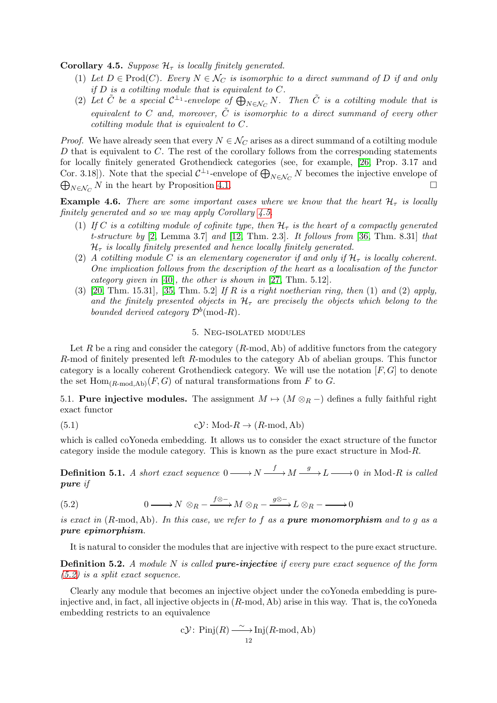<span id="page-11-1"></span>**Corollary 4.5.** Suppose  $\mathcal{H}_{\tau}$  is locally finitely generated.

- (1) Let  $D \in \text{Prod}(C)$ . Every  $N \in \mathcal{N}_C$  is isomorphic to a direct summand of D if and only if  $D$  is a cotiling module that is equivalent to  $C$ .
- (2) Let  $\tilde{C}$  be a special  $C^{\perp_1}$ -envelope of  $\bigoplus_{N\in\mathcal{N}_C}N$ . Then  $\tilde{C}$  is a cotilting module that is equivalent to C and, moreover,  $\tilde{C}$  is isomorphic to a direct summand of every other cotilting module that is equivalent to C.

*Proof.* We have already seen that every  $N \in \mathcal{N}_C$  arises as a direct summand of a cotilting module D that is equivalent to C. The rest of the corollary follows from the corresponding statements for locally finitely generated Grothendieck categories (see, for example, [\[26,](#page-26-14) Prop. 3.17 and Cor. 3.18). Note that the special  $C^{\perp_1}$ -envelope of  $\bigoplus_{N \in \mathcal{N}_{C}} N$  becomes the injective envelope of Cor. 5.18]). Note that the special  $C$  -envelope of  $\bigoplus_{N\in\mathcal{N}_C} N$  becomes the injective envelope of  $\bigoplus_{N\in\mathcal{N}_C} N$  in the heart by Proposition [4.1.](#page-8-1)

<span id="page-11-4"></span>**Example 4.6.** There are some important cases where we know that the heart  $\mathcal{H}_{\tau}$  is locally finitely generated and so we may apply Corollary [4.5.](#page-11-1)

- (1) If C is a cotilting module of cofinite type, then  $H<sub>\tau</sub>$  is the heart of a compactly generated t-structure by  $[2, \text{Lemma } 3.7]$  $[2, \text{Lemma } 3.7]$  and  $[12, \text{ Thm. } 2.3]$  $[12, \text{ Thm. } 2.3]$ . It follows from  $[36, \text{ Thm. } 8.31]$  $[36, \text{ Thm. } 8.31]$  that  $\mathcal{H}_{\tau}$  is locally finitely presented and hence locally finitely generated.
- (2) A cotiling module C is an elementary cogenerator if and only if  $\mathcal{H}_{\tau}$  is locally coherent. One implication follows from the description of the heart as a localisation of the functor category given in [\[40\]](#page-26-17), the other is shown in [\[27,](#page-26-18) Thm. 5.12].
- (3) [\[20,](#page-26-10) Thm. 15.31], [\[35,](#page-26-19) Thm. 5.2] If R is a right noetherian ring, then (1) and (2) apply, and the finitely presented objects in  $H<sub>\tau</sub>$  are precisely the objects which belong to the bounded derived category  $\mathcal{D}^b(\text{mod-}R)$ .

### <span id="page-11-3"></span>5. Neg-isolated modules

Let R be a ring and consider the category  $(R\text{-mod}, Ab)$  of additive functors from the category R-mod of finitely presented left R-modules to the category Ab of abelian groups. This functor category is a locally coherent Grothendieck category. We will use the notation  $[F, G]$  to denote the set  $\text{Hom}_{(R\text{-mod},\text{Ab})}(F,G)$  of natural transformations from F to G.

<span id="page-11-0"></span>5.1. Pure injective modules. The assignment  $M \mapsto (M \otimes_R -)$  defines a fully faithful right exact functor

(5.1) 
$$
c\mathcal{Y}: \text{Mod-}R \to (R\text{-mod}, \text{Ab})
$$

which is called coYoneda embedding. It allows us to consider the exact structure of the functor category inside the module category. This is known as the pure exact structure in Mod-R.

**Definition 5.1.** A short exact sequence  $0 \longrightarrow N \stackrel{f}{\longrightarrow} M \stackrel{g}{\longrightarrow} L \longrightarrow 0$  in Mod-R is called pure if

<span id="page-11-2"></span>(5.2) 
$$
0 \longrightarrow N \otimes_R - \xrightarrow{f \otimes -} M \otimes_R - \xrightarrow{g \otimes -} L \otimes_R - \longrightarrow 0
$$

is exact in  $(R\text{-mod}, Ab)$ . In this case, we refer to f as a **pure monomorphism** and to g as a pure epimorphism.

It is natural to consider the modules that are injective with respect to the pure exact structure.

**Definition 5.2.** A module N is called **pure-injective** if every pure exact sequence of the form  $(5.2)$  is a split exact sequence.

Clearly any module that becomes an injective object under the coYoneda embedding is pureinjective and, in fact, all injective objects in (R-mod, Ab) arise in this way. That is, the coYoneda embedding restricts to an equivalence

cY: Pinj(*R*) 
$$
\xrightarrow[12]{\sim}
$$
 Inj(*R*-mod, Ab)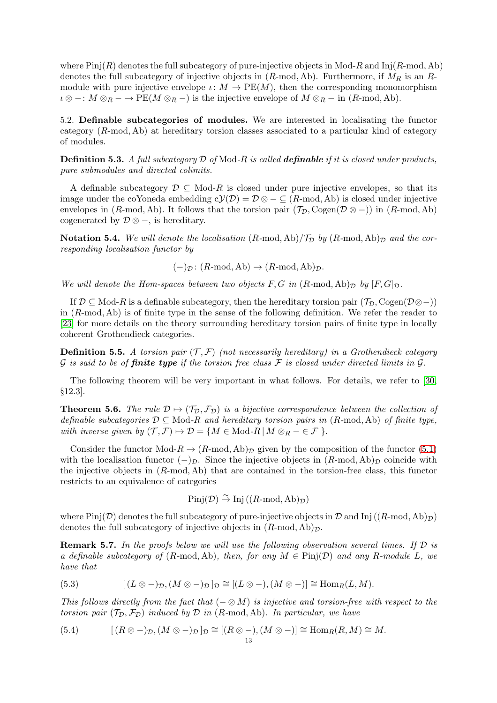where  $\text{Pinj}(R)$  denotes the full subcategory of pure-injective objects in Mod-R and  $\text{Inj}(R\text{-mod}, \text{Ab})$ denotes the full subcategory of injective objects in  $(R\text{-mod}, Ab)$ . Furthermore, if  $M_R$  is an  $R$ module with pure injective envelope  $\iota: M \to \text{PE}(M)$ , then the corresponding monomorphism  $\iota \otimes -: M \otimes_R - \to \text{PE}(M \otimes_R -)$  is the injective envelope of  $M \otimes_R -$  in  $(R\text{-mod}, Ab)$ .

<span id="page-12-0"></span>5.2. Definable subcategories of modules. We are interested in localisating the functor category  $(R\text{-mod}, Ab)$  at hereditary torsion classes associated to a particular kind of category of modules.

**Definition 5.3.** A full subcategory  $D$  of Mod-R is called **definable** if it is closed under products, pure submodules and directed colimits.

A definable subcategory  $\mathcal{D} \subseteq \text{Mod-}R$  is closed under pure injective envelopes, so that its image under the coYoneda embedding  $c(y(D) = D \otimes - \subseteq (R\text{-mod}, Ab)$  is closed under injective envelopes in (R-mod, Ab). It follows that the torsion pair  $(\mathcal{T}_{\mathcal{D}}, \text{Cogen}(\mathcal{D} \otimes -))$  in (R-mod, Ab) cogenerated by  $\mathcal{D} \otimes -$ , is hereditary.

<span id="page-12-1"></span>Notation 5.4. We will denote the localisation  $(R\text{-mod}, Ab)/\mathcal{T}_{\mathcal{D}}$  by  $(R\text{-mod}, Ab)_{\mathcal{D}}$  and the corresponding localisation functor by

 $(-)_{\mathcal{D}}: (R\text{-mod}, \text{Ab}) \to (R\text{-mod}, \text{Ab})_{\mathcal{D}}.$ 

We will denote the Hom-spaces between two objects F, G in  $(R\text{-mod}, \text{Ab})_{\mathcal{D}}$  by  $[F, G]_{\mathcal{D}}$ .

If  $\mathcal{D} \subseteq \text{Mod-}R$  is a definable subcategory, then the hereditary torsion pair  $(\mathcal{T}_{\mathcal{D}}, \text{Cogen}(\mathcal{D} \otimes -))$ in  $(R\text{-mod}, Ab)$  is of finite type in the sense of the following definition. We refer the reader to [\[23\]](#page-26-20) for more details on the theory surrounding hereditary torsion pairs of finite type in locally coherent Grothendieck categories.

**Definition 5.5.** A torsion pair  $(\mathcal{T}, \mathcal{F})$  (not necessarily hereditary) in a Grothendieck category G is said to be of **finite type** if the torsion free class F is closed under directed limits in G.

The following theorem will be very important in what follows. For details, we refer to [\[30,](#page-26-21) §12.3].

**Theorem 5.6.** The rule  $\mathcal{D} \mapsto (\mathcal{T}_{\mathcal{D}}, \mathcal{F}_{\mathcal{D}})$  is a bijective correspondence between the collection of definable subcategories  $D \subseteq Mod-R$  and hereditary torsion pairs in  $(R\text{-mod}, Ab)$  of finite type, with inverse given by  $(\mathcal{T}, \mathcal{F}) \mapsto \mathcal{D} = \{M \in Mod-R \mid M \otimes_R - \in \mathcal{F}\}.$ 

Consider the functor  $Mod-R \to (R\text{-mod}, Ab)_\mathcal{D}$  given by the composition of the functor [\(5.1\)](#page-11-3) with the localisation functor  $(-)_{\mathcal{D}}$ . Since the injective objects in  $(R\text{-mod}, Ab)_{\mathcal{D}}$  coincide with the injective objects in  $(R\text{-mod}, Ab)$  that are contained in the torsion-free class, this functor restricts to an equivalence of categories

 $\text{Pinj}(\mathcal{D}) \overset{\sim}{\rightarrow} \text{Inj}((R\text{-mod}, \text{Ab})_{\mathcal{D}})$ 

where Pinj(D) denotes the full subcategory of pure-injective objects in D and Inj ( $(R\text{-mod}, Ab)_{\mathcal{D}}$ ) denotes the full subcategory of injective objects in  $(R\text{-mod}, Ab)_{\mathcal{D}}$ .

<span id="page-12-2"></span>**Remark 5.7.** In the proofs below we will use the following observation several times. If  $D$  is a definable subcategory of  $(R\text{-mod}, Ab)$ , then, for any  $M \in \text{Pinj}(\mathcal{D})$  and any  $R\text{-module } L$ , we have that

(5.3) 
$$
[(L \otimes -)_{\mathcal{D}}, (M \otimes -)_{\mathcal{D}}]_{\mathcal{D}} \cong [(L \otimes -), (M \otimes -)] \cong \text{Hom}_{R}(L, M).
$$

This follows directly from the fact that  $(- \otimes M)$  is injective and torsion-free with respect to the torsion pair  $(\mathcal{T}_{\mathcal{D}}, \mathcal{F}_{\mathcal{D}})$  induced by  $\mathcal D$  in  $(R\text{-mod}, Ab)$ . In particular, we have

(5.4) 
$$
[(R \otimes -)_{\mathcal{D}}, (M \otimes -)_{\mathcal{D}}]_{\mathcal{D}} \cong [(R \otimes -), (M \otimes -)] \cong \text{Hom}_{R}(R, M) \cong M.
$$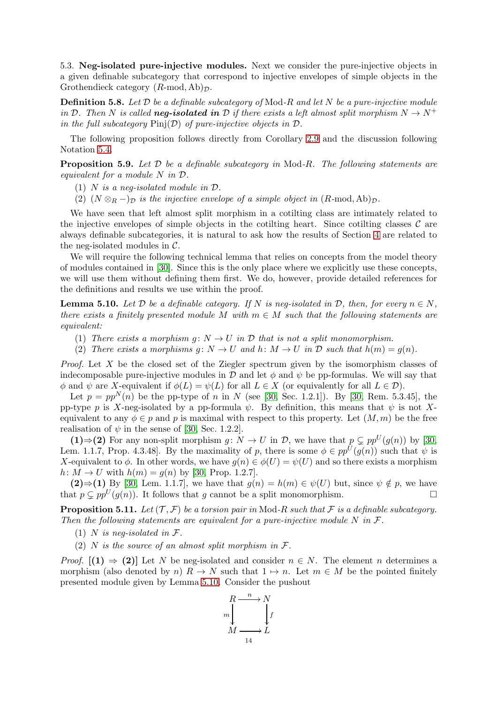<span id="page-13-0"></span>5.3. Neg-isolated pure-injective modules. Next we consider the pure-injective objects in a given definable subcategory that correspond to injective envelopes of simple objects in the Grothendieck category  $(R\text{-mod}, Ab)_{\mathcal{D}}$ .

**Definition 5.8.** Let  $\mathcal{D}$  be a definable subcategory of Mod-R and let N be a pure-injective module in D. Then N is called **neg-isolated in** D if there exists a left almost split morphism  $N \to N^+$ in the full subcategory  $\text{Pinj}(\mathcal{D})$  of pure-injective objects in  $\mathcal{D}$ .

The following proposition follows directly from Corollary [2.9](#page-5-1) and the discussion following Notation [5.4.](#page-12-1)

<span id="page-13-3"></span>**Proposition 5.9.** Let  $D$  be a definable subcategory in Mod-R. The following statements are equivalent for a module N in D.

- (1) N is a neq-isolated module in  $\mathcal{D}$ .
- (2)  $(N \otimes_R -)_{\mathcal{D}}$  is the injective envelope of a simple object in  $(R\text{-mod}, Ab)_{\mathcal{D}}$ .

We have seen that left almost split morphism in a cotilting class are intimately related to the injective envelopes of simple objects in the cotilting heart. Since cotilting classes  $\mathcal C$  are always definable subcategories, it is natural to ask how the results of Section [4](#page-8-2) are related to the neg-isolated modules in C.

We will require the following technical lemma that relies on concepts from the model theory of modules contained in [\[30\]](#page-26-21). Since this is the only place where we explicitly use these concepts, we will use them without defining them first. We do, however, provide detailed references for the definitions and results we use within the proof.

<span id="page-13-1"></span>**Lemma 5.10.** Let D be a definable category. If N is neg-isolated in D, then, for every  $n \in N$ , there exists a finitely presented module M with  $m \in M$  such that the following statements are equivalent:

- (1) There exists a morphism  $g: N \to U$  in  $D$  that is not a split monomorphism.
- (2) There exists a morphisms  $g: N \to U$  and  $h: M \to U$  in  $D$  such that  $h(m) = g(n)$ .

Proof. Let X be the closed set of the Ziegler spectrum given by the isomorphism classes of indecomposable pure-injective modules in D and let  $\phi$  and  $\psi$  be pp-formulas. We will say that  $\phi$  and  $\psi$  are X-equivalent if  $\phi(L) = \psi(L)$  for all  $L \in X$  (or equivalently for all  $L \in \mathcal{D}$ ).

Let  $p = pp^{N}(n)$  be the pp-type of n in N (see [\[30,](#page-26-21) Sec. 1.2.1]). By [30, Rem. 5.3.45], the pp-type p is X-neg-isolated by a pp-formula  $\psi$ . By definition, this means that  $\psi$  is not Xequivalent to any  $\phi \in p$  and p is maximal with respect to this property. Let  $(M, m)$  be the free realisation of  $\psi$  in the sense of [\[30,](#page-26-21) Sec. 1.2.2].

(1)⇒(2) For any non-split morphism  $g: N \to U$  in  $\mathcal{D}$ , we have that  $p \subsetneq pp^U(g(n))$  by [\[30,](#page-26-21) Lem. 1.1.7, Prop. 4.3.48]. By the maximality of p, there is some  $\phi \in pp^{U}(g(n))$  such that  $\psi$  is X-equivalent to  $\phi$ . In other words, we have  $q(n) \in \phi(U) = \psi(U)$  and so there exists a morphism  $h: M \to U$  with  $h(m) = g(n)$  by [\[30,](#page-26-21) Prop. 1.2.7].

(2)⇒(1) By [\[30,](#page-26-21) Lem. 1.1.7], we have that  $g(n) = h(m) \in \psi(U)$  but, since  $\psi \notin p$ , we have that  $p \nsubseteq pp^U(g(n))$ . It follows that g cannot be a split monomorphism.

<span id="page-13-2"></span>**Proposition 5.11.** Let  $(\mathcal{T}, \mathcal{F})$  be a torsion pair in Mod-R such that F is a definable subcategory. Then the following statements are equivalent for a pure-injective module  $N$  in  $\mathcal{F}$ .

- (1) N is neg-isolated in  $\mathcal{F}.$
- (2) N is the source of an almost split morphism in  $\mathcal{F}.$

*Proof.*  $[(1) \Rightarrow (2)]$  Let N be neg-isolated and consider  $n \in N$ . The element n determines a morphism (also denoted by n)  $R \to N$  such that  $1 \mapsto n$ . Let  $m \in M$  be the pointed finitely presented module given by Lemma [5.10.](#page-13-1) Consider the pushout

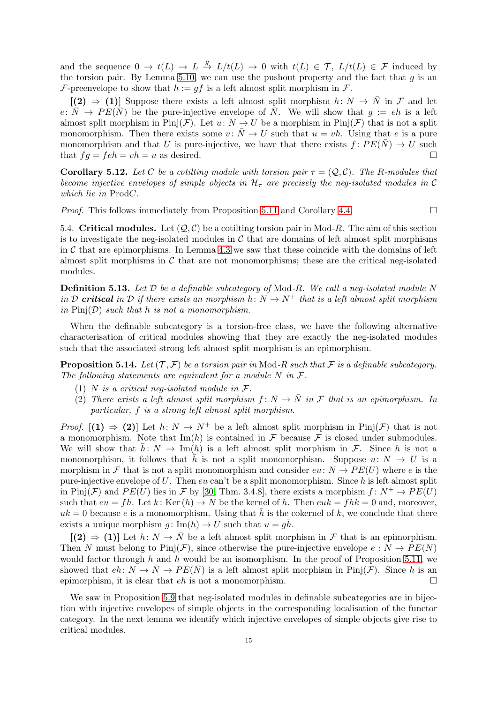and the sequence  $0 \to t(L) \to L \stackrel{g}{\to} L/t(L) \to 0$  with  $t(L) \in \mathcal{T}$ ,  $L/t(L) \in \mathcal{F}$  induced by the torsion pair. By Lemma [5.10,](#page-13-1) we can use the pushout property and the fact that  $g$  is an F-preenvelope to show that  $h := qf$  is a left almost split morphism in F.

 $[(2) \Rightarrow (1)]$  Suppose there exists a left almost split morphism  $h: N \rightarrow \overline{N}$  in  $\mathcal F$  and let  $e: \overline{N} \to PE(\overline{N})$  be the pure-injective envelope of  $\overline{N}$ . We will show that  $g := eh$  is a left almost split morphism in Pinj(F). Let  $u: N \to U$  be a morphism in Pinj(F) that is not a split monomorphism. Then there exists some  $v: \overline{N} \to U$  such that  $u = vh$ . Using that e is a pure monomorphism and that U is pure-injective, we have that there exists  $f: PE(\overline{N}) \to U$  such that  $fg = feh = vh = u$  as desired.

<span id="page-14-0"></span>**Corollary 5.12.** Let C be a cotiling module with torsion pair  $\tau = (Q, C)$ . The R-modules that become injective envelopes of simple objects in  $\mathcal{H}_{\tau}$  are precisely the neg-isolated modules in C which lie in ProdC.

*Proof.* This follows immediately from Proposition [5.11](#page-13-2) and Corollary [4.4.](#page-10-1)

5.4. Critical modules. Let  $(Q, C)$  be a cotilting torsion pair in Mod-R. The aim of this section is to investigate the neg-isolated modules in  $\mathcal C$  that are domains of left almost split morphisms in  $\mathcal C$  that are epimorphisms. In Lemma [4.3](#page-10-0) we saw that these coincide with the domains of left almost split morphisms in  $\mathcal C$  that are not monomorphisms; these are the critical neg-isolated modules.

**Definition 5.13.** Let  $\mathcal{D}$  be a definable subcategory of Mod-R. We call a neg-isolated module N in D critical in D if there exists an morphism  $h: N \to N^+$  that is a left almost split morphism in  $\text{Pin}(D)$  such that h is not a monomorphism.

When the definable subcategory is a torsion-free class, we have the following alternative characterisation of critical modules showing that they are exactly the neg-isolated modules such that the associated strong left almost split morphism is an epimorphism.

<span id="page-14-1"></span>**Proposition 5.14.** Let  $(\mathcal{T}, \mathcal{F})$  be a torsion pair in Mod-R such that F is a definable subcategory. The following statements are equivalent for a module  $N$  in  $\mathcal{F}$ .

- (1) N is a critical neq-isolated module in  $\mathcal{F}.$
- (2) There exists a left almost split morphism  $f: N \to \overline{N}$  in F that is an epimorphism. In particular, f is a strong left almost split morphism.

*Proof.*  $[(1) \Rightarrow (2)]$  Let  $h: N \rightarrow N^+$  be a left almost split morphism in Pinj $(F)$  that is not a monomorphism. Note that  $\text{Im}(h)$  is contained in F because F is closed under submodules. We will show that  $\bar{h} : N \to \text{Im}(h)$  is a left almost split morphism in F. Since h is not a monomorphism, it follows that  $\bar{h}$  is not a split monomorphism. Suppose  $u: N \to U$  is a morphism in F that is not a split monomorphism and consider  $eu: N \to PE(U)$  where e is the pure-injective envelope of U. Then eu can't be a split monomorphism. Since  $h$  is left almost split in Pinj(F) and  $PE(U)$  lies in F by [\[30,](#page-26-21) Thm. 3.4.8], there exists a morphism  $f: N^+ \to PE(U)$ such that  $eu = fh$ . Let  $k$ : Ker  $(h) \to N$  be the kernel of h. Then  $euk = fhk = 0$  and, moreover,  $uk = 0$  because e is a monomorphism. Using that h is the cokernel of k, we conclude that there exists a unique morphism  $g: \text{Im}(h) \to U$  such that  $u = g\bar{h}$ .

 $[(2) \Rightarrow (1)]$  Let  $h: N \to \overline{N}$  be a left almost split morphism in F that is an epimorphism. Then N must belong to Pinj(F), since otherwise the pure-injective envelope  $e: N \to PE(N)$ would factor through h and h would be an isomorphism. In the proof of Proposition [5.11,](#page-13-2) we showed that  $eh: N \to \overline{N} \to PE(\overline{N})$  is a left almost split morphism in Pinj(*F*). Since h is an epimorphism, it is clear that  $eh$  is not a monomorphism.

We saw in Proposition [5.9](#page-13-3) that neg-isolated modules in definable subcategories are in bijection with injective envelopes of simple objects in the corresponding localisation of the functor category. In the next lemma we identify which injective envelopes of simple objects give rise to critical modules.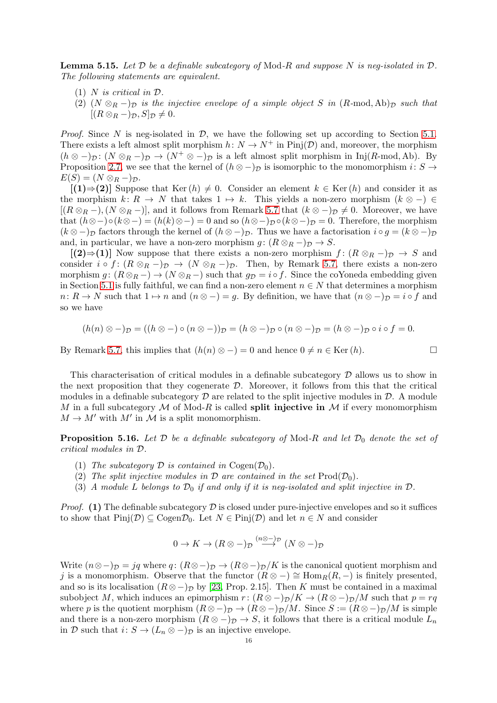**Lemma 5.15.** Let  $D$  be a definable subcategory of Mod-R and suppose N is neg-isolated in  $D$ . The following statements are equivalent.

- (1) N is critical in  $\mathcal{D}$ .
- (2)  $(N \otimes_R -)_{\mathcal{D}}$  is the injective envelope of a simple object S in  $(R\text{-mod}, Ab)_{\mathcal{D}}$  such that  $[(R \otimes_R -)_{\mathcal{D}}, S]_{\mathcal{D}} \neq 0.$

*Proof.* Since N is neg-isolated in  $\mathcal{D}$ , we have the following set up according to Section [5.1.](#page-11-0) There exists a left almost split morphism  $h: N \to N^+$  in Pinj $(\mathcal{D})$  and, moreover, the morphism  $(h \otimes -)_{\mathcal{D}}: (N \otimes_R -)_{\mathcal{D}} \to (N^+ \otimes -)_{\mathcal{D}}$  is a left almost split morphism in Inj(R-mod, Ab). By Proposition [2.7,](#page-4-1) we see that the kernel of  $(h \otimes -)_{\mathcal{D}}$  is isomorphic to the monomorphism  $i: S \to$  $E(S) = (N \otimes_R -)_{\mathcal{D}}.$ 

 $[(1) \Rightarrow (2)]$  Suppose that Ker  $(h) \neq 0$ . Consider an element  $k \in \text{Ker } (h)$  and consider it as the morphism  $k: R \to N$  that takes  $1 \mapsto k$ . This yields a non-zero morphism  $(k \otimes -) \in$  $[(R \otimes_R -), (N \otimes_R -)]$ , and it follows from Remark [5.7](#page-12-2) that  $(k \otimes -)_D \neq 0$ . Moreover, we have that  $(h\otimes -)\circ (k\otimes -)=(h(k)\otimes -)=0$  and so  $(h\otimes -)_{\mathcal{D}}\circ (k\otimes -)_{\mathcal{D}}=0$ . Therefore, the morphism  $(k \otimes -)_{\mathcal{D}}$  factors through the kernel of  $(h \otimes -)_{\mathcal{D}}$ . Thus we have a factorisation  $i \circ g = (k \otimes -)_{\mathcal{D}}$ and, in particular, we have a non-zero morphism  $g: (R \otimes_R -)_{\mathcal{D}} \to S$ .

 $[(2) \Rightarrow (1)]$  Now suppose that there exists a non-zero morphism  $f : (R \otimes_R -)_\mathcal{D} \to S$  and consider  $i \circ f : (R \otimes_R -)_{\mathcal{D}} \to (N \otimes_R -)_{\mathcal{D}}$ . Then, by Remark [5.7,](#page-12-2) there exists a non-zero morphism  $g: (R \otimes_R -) \to (N \otimes_R -)$  such that  $g_D = i \circ f$ . Since the coYoneda embedding given in Section [5.1](#page-11-0) is fully faithful, we can find a non-zero element  $n \in N$  that determines a morphism  $n: R \to N$  such that  $1 \mapsto n$  and  $(n \otimes -)=g$ . By definition, we have that  $(n \otimes -)D = i \circ f$  and so we have

$$
(h(n) \otimes -)_{\mathcal{D}} = ((h \otimes -) \circ (n \otimes -))_{\mathcal{D}} = (h \otimes -)_{\mathcal{D}} \circ (n \otimes -)_{\mathcal{D}} = (h \otimes -)_{\mathcal{D}} \circ i \circ f = 0.
$$

By Remark [5.7,](#page-12-2) this implies that  $(h(n) \otimes -)=0$  and hence  $0 \neq n \in \text{Ker}(h)$ .

This characterisation of critical modules in a definable subcategory D allows us to show in the next proposition that they cogenerate  $D$ . Moreover, it follows from this that the critical modules in a definable subcategory  $\mathcal D$  are related to the split injective modules in  $\mathcal D$ . A module M in a full subcategory M of Mod-R is called **split injective in** M if every monomorphism  $M \to M'$  with  $M'$  in  $\mathcal M$  is a split monomorphism.

<span id="page-15-0"></span>**Proposition 5.16.** Let  $D$  be a definable subcategory of Mod-R and let  $D_0$  denote the set of critical modules in D.

- (1) The subcategory  $\mathcal D$  is contained in Cogen $(\mathcal D_0)$ .
- (2) The split injective modules in  $\mathcal D$  are contained in the set  $\text{Prod}(\mathcal D_0)$ .
- (3) A module L belongs to  $\mathcal{D}_0$  if and only if it is neg-isolated and split injective in  $\mathcal{D}$ .

*Proof.* (1) The definable subcategory  $D$  is closed under pure-injective envelopes and so it suffices to show that  $\text{Pinj}(\mathcal{D}) \subseteq \text{Cogen} \mathcal{D}_0$ . Let  $N \in \text{Pinj}(\mathcal{D})$  and let  $n \in N$  and consider

$$
0 \to K \to (R \otimes -)_{\mathcal{D}} \overset{(n \otimes -)_{\mathcal{D}}}{\longrightarrow} (N \otimes -)_{\mathcal{D}}
$$

Write  $(n \otimes -)_{\mathcal{D}} = jq$  where q:  $(R \otimes -)_{\mathcal{D}} \to (R \otimes -)_{\mathcal{D}}/K$  is the canonical quotient morphism and j is a monomorphism. Observe that the functor  $(R \otimes -) \cong \text{Hom}_{R}(R, -)$  is finitely presented, and so is its localisation  $(R \otimes -)_{\mathcal{D}}$  by [\[23,](#page-26-20) Prop. 2.15]. Then K must be contained in a maximal subobject M, which induces an epimorphism  $r: (R \otimes -)_\mathcal{D}/K \to (R \otimes -)_\mathcal{D}/M$  such that  $p = rq$ where p is the quotient morphism  $(R \otimes -)_{\mathcal{D}} \to (R \otimes -)_{\mathcal{D}}/M$ . Since  $S := (R \otimes -)_{\mathcal{D}}/M$  is simple and there is a non-zero morphism  $(R \otimes -)_{\mathcal{D}} \to S$ , it follows that there is a critical module  $L_n$ in D such that  $i: S \to (L_n \otimes -)_{\mathcal{D}}$  is an injective envelope.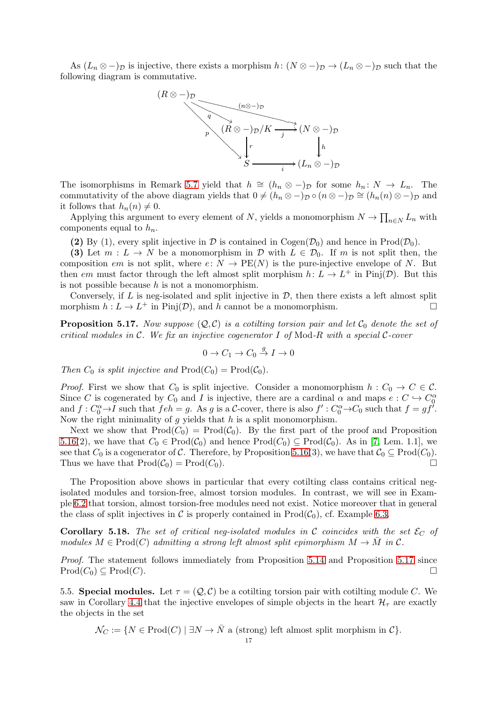As  $(L_n \otimes -)_{\mathcal{D}}$  is injective, there exists a morphism  $h: (N \otimes -)_{\mathcal{D}} \to (L_n \otimes -)_{\mathcal{D}}$  such that the following diagram is commutative.



The isomorphisms in Remark [5.7](#page-12-2) yield that  $h \cong (h_n \otimes -)_{\mathcal{D}}$  for some  $h_n: N \to L_n$ . The commutativity of the above diagram yields that  $0 \neq (h_n \otimes -)_{\mathcal{D}} \circ (n \otimes -)_{\mathcal{D}} \cong (h_n(n) \otimes -)_{\mathcal{D}}$  and it follows that  $h_n(n) \neq 0$ .

Applying this argument to every element of N, yields a monomorphism  $N \to \prod_{n \in N} L_n$  with components equal to  $h_n$ .

(2) By (1), every split injective in  $\mathcal D$  is contained in Cogen( $\mathcal D_0$ ) and hence in Prod( $\mathcal D_0$ ).

(3) Let  $m: L \to N$  be a monomorphism in  $\mathcal{D}$  with  $L \in \mathcal{D}_0$ . If m is not split then, the composition em is not split, where  $e: N \to PE(N)$  is the pure-injective envelope of N. But then em must factor through the left almost split morphism  $h: L \to L^+$  in Pinj $(\mathcal{D})$ . But this is not possible because  $h$  is not a monomorphism.

Conversely, if  $L$  is neg-isolated and split injective in  $D$ , then there exists a left almost split morphism  $h: L \to L^+$  in Pinj $(\mathcal{D})$ , and h cannot be a monomorphism.

<span id="page-16-1"></span>**Proposition 5.17.** Now suppose  $(Q, C)$  is a cotiling torsion pair and let  $C_0$  denote the set of critical modules in  $\mathcal C$ . We fix an injective cogenerator I of Mod-R with a special  $\mathcal C$ -cover

$$
0 \to C_1 \to C_0 \stackrel{g}{\to} I \to 0
$$

Then  $C_0$  is split injective and  $\text{Prod}(C_0) = \text{Prod}(\mathcal{C}_0)$ .

*Proof.* First we show that  $C_0$  is split injective. Consider a monomorphism  $h: C_0 \to C \in \mathcal{C}$ . Since C is cogenerated by  $C_0$  and I is injective, there are a cardinal  $\alpha$  and maps  $e: C \hookrightarrow C_0^{\alpha}$ and  $f: C_0^{\alpha} \to I$  such that  $feh = g$ . As g is a C-cover, there is also  $f': C_0^{\alpha} \to C_0$  such that  $f = gf'$ . Now the right minimality of  $g$  yields that  $h$  is a split monomorphism.

Next we show that  $Prod(C_0) = Prod(C_0)$ . By the first part of the proof and Proposition [5.16\(](#page-15-0)2), we have that  $C_0 \in \text{Prod}(\mathcal{C}_0)$  and hence  $\text{Prod}(C_0) \subseteq \text{Prod}(\mathcal{C}_0)$ . As in [\[7,](#page-25-5) Lem. 1.1], we see that  $C_0$  is a cogenerator of C. Therefore, by Proposition [5.16\(](#page-15-0)3), we have that  $C_0 \subseteq \text{Prod}(C_0)$ . Thus we have that  $\text{Prod}(\mathcal{C}_0) = \text{Prod}(\mathcal{C}_0)$ .

The Proposition above shows in particular that every cotilting class contains critical negisolated modules and torsion-free, almost torsion modules. In contrast, we will see in Example [6.2](#page-20-0) that torsion, almost torsion-free modules need not exist. Notice moreover that in general the class of split injectives in C is properly contained in  $\text{Prod}(\mathcal{C}_0)$ , cf. Example [6.3.](#page-20-1)

<span id="page-16-0"></span>**Corollary 5.18.** The set of critical neg-isolated modules in C coincides with the set  $\mathcal{E}_C$  of modules  $M \in \text{Prod}(C)$  admitting a strong left almost split epimorphism  $M \to \overline{M}$  in C.

Proof. The statement follows immediately from Proposition [5.14](#page-14-1) and Proposition [5.17](#page-16-1) since  $\text{Prod}(C_0) \subseteq \text{Prod}(C).$ 

5.5. Special modules. Let  $\tau = (Q, C)$  be a cotiling torsion pair with cotiling module C. We saw in Corollary [4.4](#page-10-1) that the injective envelopes of simple objects in the heart  $\mathcal{H}_{\tau}$  are exactly the objects in the set

 $\mathcal{N}_C := \{ N \in \text{Prod}(C) \mid \exists N \to \overline{N} \text{ a (strong) left almost split morphism in } C \}.$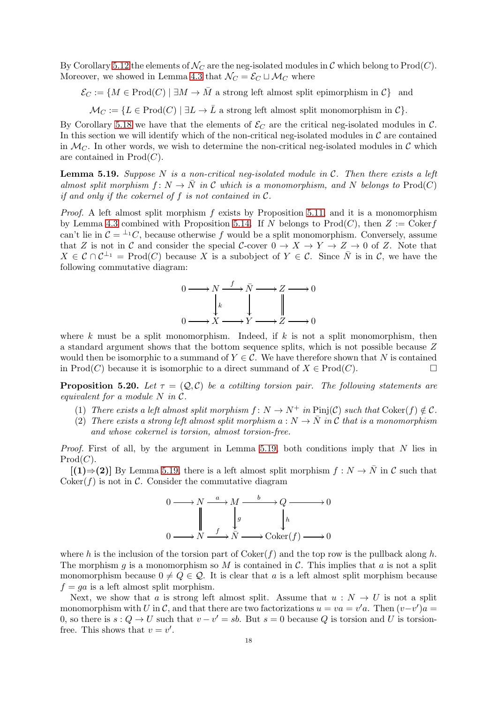By Corollary [5.12](#page-14-0) the elements of  $\mathcal{N}_C$  are the neg-isolated modules in C which belong to Prod(C). Moreover, we showed in Lemma [4.3](#page-10-0) that  $\mathcal{N}_C = \mathcal{E}_C \sqcup \mathcal{M}_C$  where

$$
\mathcal{E}_C := \{ M \in \text{Prod}(C) \mid \exists M \to \bar{M} \text{ a strong left almost split epimorphism in } C \} \text{ and }
$$

 $\mathcal{M}_C := \{ L \in \text{Prod}(C) \mid \exists L \to \bar{L} \text{ a strong left almost split monomorphism in } C \}.$ 

By Corollary [5.18](#page-16-0) we have that the elements of  $\mathcal{E}_C$  are the critical neg-isolated modules in C. In this section we will identify which of the non-critical neg-isolated modules in  $\mathcal C$  are contained in  $\mathcal{M}_C$ . In other words, we wish to determine the non-critical neg-isolated modules in  $\mathcal C$  which are contained in  $Prod(C)$ .

<span id="page-17-0"></span>**Lemma 5.19.** Suppose N is a non-critical neg-isolated module in  $C$ . Then there exists a left almost split morphism  $f: N \to N$  in C which is a monomorphism, and N belongs to Prod(C) if and only if the cokernel of  $f$  is not contained in  $\mathcal{C}$ .

*Proof.* A left almost split morphism  $f$  exists by Proposition [5.11,](#page-13-2) and it is a monomorphism by Lemma [4.3](#page-10-0) combined with Proposition [5.14.](#page-14-1) If N belongs to  $\text{Prod}(C)$ , then  $Z := \text{Coker}f$ can't lie in  $\mathcal{C} = {}^{\perp_1}C$ , because otherwise f would be a split monomorphism. Conversely, assume that Z is not in C and consider the special C-cover  $0 \to X \to Y \to Z \to 0$  of Z. Note that  $X \in \mathcal{C} \cap \mathcal{C}^{\perp_1} = \text{Prod}(C)$  because X is a subobject of  $Y \in \mathcal{C}$ . Since  $\overline{N}$  is in  $\mathcal{C}$ , we have the following commutative diagram:



where k must be a split monomorphism. Indeed, if  $k$  is not a split monomorphism, then a standard argument shows that the bottom sequence splits, which is not possible because Z would then be isomorphic to a summand of  $Y \in \mathcal{C}$ . We have therefore shown that N is contained in  $\text{Prod}(C)$  because it is isomorphic to a direct summand of  $X \in \text{Prod}(C)$ .

<span id="page-17-1"></span>**Proposition 5.20.** Let  $\tau = (Q, C)$  be a cotiling torsion pair. The following statements are equivalent for a module N in C.

- (1) There exists a left almost split morphism  $f: N \to N^+$  in  $\text{Pinj}(\mathcal{C})$  such that  $\text{Coker}(f) \notin \mathcal{C}$ .
- (2) There exists a strong left almost split morphism  $a: N \to \overline{N}$  in C that is a monomorphism and whose cokernel is torsion, almost torsion-free.

*Proof.* First of all, by the argument in Lemma [5.19,](#page-17-0) both conditions imply that  $N$  lies in  $Prod(C).$ 

 $[(1) \Rightarrow (2)]$  By Lemma [5.19,](#page-17-0) there is a left almost split morphism  $f : N \to \overline{N}$  in C such that  $Coker(f)$  is not in C. Consider the commutative diagram



where h is the inclusion of the torsion part of  $Coker(f)$  and the top row is the pullback along h. The morphism g is a monomorphism so M is contained in C. This implies that a is not a split monomorphism because  $0 \neq Q \in \mathcal{Q}$ . It is clear that a is a left almost split morphism because  $f = ga$  is a left almost split morphism.

Next, we show that a is strong left almost split. Assume that  $u : N \to U$  is not a split monomorphism with U in C, and that there are two factorizations  $u = va = v'a$ . Then  $(v-v')\overline{a} =$ 0, so there is  $s: Q \to U$  such that  $v - v' = sb$ . But  $s = 0$  because Q is torsion and U is torsionfree. This shows that  $v = v'$ .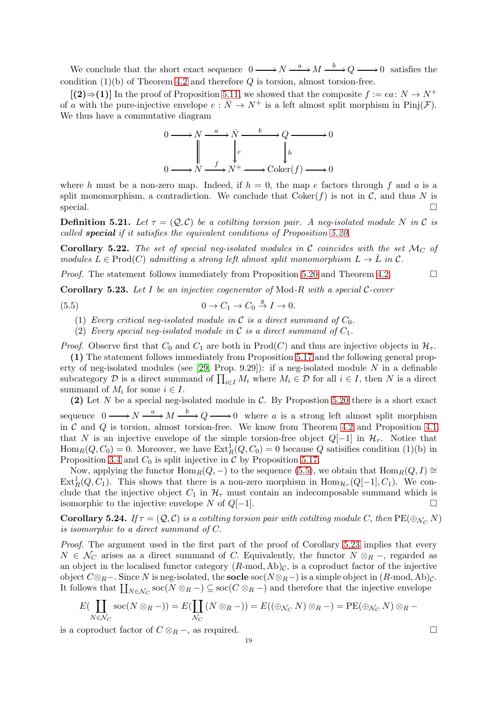We conclude that the short exact sequence  $0 \longrightarrow N \stackrel{a}{\longrightarrow} M \stackrel{b}{\longrightarrow} Q \longrightarrow 0$  satisfies the condition  $(1)(b)$  of Theorem [4.2](#page-9-0) and therefore Q is torsion, almost torsion-free.

 $[(2) \Rightarrow (1)]$  In the proof of Proposition [5.11,](#page-13-2) we showed that the composite  $f := ea: N \rightarrow N^+$ of a with the pure-injective envelope  $e : \overline{N} \to N^+$  is a left almost split morphism in Pinj( $\mathcal{F}$ ). We thus have a commutative diagram



where h must be a non-zero map. Indeed, if  $h = 0$ , the map e factors through f and a is a split monomorphism, a contradiction. We conclude that  $Coker(f)$  is not in C, and thus N is  $\Box$ special.  $\Box$ 

**Definition 5.21.** Let  $\tau = (Q, C)$  be a cotiling torsion pair. A neg-isolated module N in C is called special if it satisfies the equivalent conditions of Proposition [5.20.](#page-17-1)

<span id="page-18-0"></span>**Corollary 5.22.** The set of special neg-isolated modules in C coincides with the set  $\mathcal{M}_C$  of modules  $L \in \text{Prod}(C)$  admitting a strong left almost split monomorphism  $L \to \overline{L}$  in  $\mathcal{C}$ .

*Proof.* The statement follows immediately from Proposition [5.20](#page-17-1) and Theorem [4.2.](#page-9-0)

<span id="page-18-2"></span>**Corollary 5.23.** Let I be an injective cogenerator of Mod-R with a special C-cover

(5.5) 
$$
0 \to C_1 \to C_0 \stackrel{g}{\to} I \to 0.
$$

(1) Every critical neg-isolated module in C is a direct summand of  $C_0$ .

<span id="page-18-1"></span>(2) Every special neg-isolated module in C is a direct summand of  $C_1$ .

*Proof.* Observe first that  $C_0$  and  $C_1$  are both in Prod(C) and thus are injective objects in  $\mathcal{H}_{\tau}$ .

(1) The statement follows immediately from Proposition [5.17](#page-16-1) and the following general property of neg-isolated modules (see  $[29,$  Prop. 9.29]): if a neg-isolated module N in a definable subcategory  $D$  is a direct summand of  $\prod_{i\in I} M_i$  where  $M_i \in D$  for all  $i \in I$ , then N is a direct summand of  $M_i$  for some  $i \in I$ .

(2) Let N be a special neg-isolated module in C. By Propostion [5.20](#page-17-1) there is a short exact sequence  $0 \longrightarrow N \stackrel{a}{\longrightarrow} M \stackrel{b}{\longrightarrow} Q \longrightarrow 0$  where a is a strong left almost split morphism in  $\mathcal C$  and  $\mathcal Q$  is torsion, almost torsion-free. We know from Theorem [4.2](#page-9-0) and Proposition [4.1](#page-8-1) that N is an injective envelope of the simple torsion-free object  $Q[-1]$  in  $\mathcal{H}_{\tau}$ . Notice that  $\text{Hom}_R(Q, C_0) = 0$ . Moreover, we have  $\text{Ext}^1_R(Q, C_0) = 0$  because Q satisifies condition (1)(b) in Proposition [3.4](#page-7-1) and  $C_0$  is split injective in  $\mathcal C$  by Proposition [5.17.](#page-16-1)

Now, applying the functor  $\text{Hom}_R(Q, -)$  to the sequence [\(5.5\)](#page-18-1), we obtain that  $\text{Hom}_R(Q, I) \cong$  $\text{Ext}^1_R(Q, C_1)$ . This shows that there is a non-zero morphism in  $\text{Hom}_{\mathcal{H}_{\tau}}(Q[-1], C_1)$ . We conclude that the injective object  $C_1$  in  $\mathcal{H}_{\tau}$  must contain an indecomposable summand which is isomorphic to the injective envelope N of  $Q[-1]$ .

<span id="page-18-3"></span>**Corollary 5.24.** If  $\tau = (Q, C)$  is a cotiling torsion pair with cotiling module C, then  $PE(\oplus_{N \subset N} N)$ is isomorphic to a direct summand of C.

Proof. The argument used in the first part of the proof of Corollary [5.23](#page-18-2) implies that every  $N \in \mathcal{N}_C$  arises as a direct summand of C. Equivalently, the functor  $N \otimes_R -$ , regarded as an object in the localised functor category  $(R\text{-mod}, Ab)_{\mathcal{C}}$ , is a coproduct factor of the injective object  $C \otimes_R -$ . Since N is neg-isolated, the **socle** soc( $N \otimes_R -$ ) is a simple object in  $(R$ -mod, Ab)<sub> $C$ </sub>. It follows that  $\prod_{N\in\mathcal{N}_C}\text{soc}(N\otimes_R -) \subseteq \text{soc}(C\otimes_R -)$  and therefore that the injective envelope

$$
E(\coprod_{N\in\mathcal{N}_C}\operatorname{soc}(N\otimes_R -)) = E(\coprod_{\mathcal{N}_C}(N\otimes_R -)) = E((\oplus_{\mathcal{N}_C}N)\otimes_R -) = \operatorname{PE}(\oplus_{\mathcal{N}_C}N)\otimes_R -
$$

is a coproduct factor of  $C \otimes_R -$ , as required.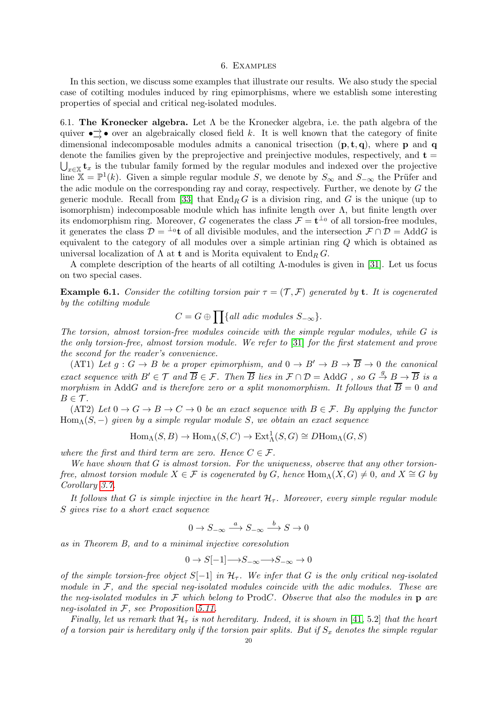#### 6. Examples

In this section, we discuss some examples that illustrate our results. We also study the special case of cotilting modules induced by ring epimorphisms, where we establish some interesting properties of special and critical neg-isolated modules.

6.1. The Kronecker algebra. Let  $\Lambda$  be the Kronecker algebra, i.e. the path algebra of the quiver  $\bullet \rightarrow \bullet$  over an algebraically closed field k. It is well known that the category of finite dimensional indecomposable modules admits a canonical trisection  $(p, t, q)$ , where p and q denote the families given by the preprojective and preinjective modules, respectively, and  $t =$  $\bigcup_{x\in\mathbb{X}}\mathbf{t}_x$  is the tubular family formed by the regular modules and indexed over the projective line  $X = \mathbb{P}^1(k)$ . Given a simple regular module S, we denote by  $S_{\infty}$  and  $S_{-\infty}$  the Prüfer and the adic module on the corresponding ray and coray, respectively. Further, we denote by  $G$  the generic module. Recall from [\[33\]](#page-26-23) that  $\text{End}_RG$  is a division ring, and G is the unique (up to isomorphism) indecomposable module which has infinite length over  $\Lambda$ , but finite length over its endomorphism ring. Moreover, G cogenerates the class  $\mathcal{F} = \mathbf{t}^{\perp_0}$  of all torsion-free modules, it generates the class  $\mathcal{D} = {}^{\perp}0$ t of all divisible modules, and the intersection  $\mathcal{F} \cap \mathcal{D} = \text{Add}G$  is equivalent to the category of all modules over a simple artinian ring Q which is obtained as universal localization of  $\Lambda$  at **t** and is Morita equivalent to  $\text{End}_{R} G$ .

A complete description of the hearts of all cotilting Λ-modules is given in [\[31\]](#page-26-24). Let us focus on two special cases.

<span id="page-19-0"></span>**Example 6.1.** Consider the cotiling torsion pair  $\tau = (\mathcal{T}, \mathcal{F})$  generated by **t**. It is cogenerated by the cotilting module

 $C = G \oplus \prod \{all \;adic \; modules \; S_{-\infty} \}.$ 

The torsion, almost torsion-free modules coincide with the simple regular modules, while G is the only torsion-free, almost torsion module. We refer to [\[31\]](#page-26-24) for the first statement and prove the second for the reader's convenience.

(AT1) Let  $g: G \to B$  be a proper epimorphism, and  $0 \to B' \to B \to \overline{B} \to 0$  the canonical exact sequence with  $B' \in \mathcal{T}$  and  $\overline{B} \in \mathcal{F}$ . Then  $\overline{B}$  lies in  $\mathcal{F} \cap \mathcal{D} = \text{Add}G$ , so  $G \stackrel{g}{\to} B \to \overline{B}$  is a morphism in AddG and is therefore zero or a split monomorphism. It follows that  $\overline{B} = 0$  and  $B \in \mathcal{T}$ .

(AT2) Let  $0 \to G \to B \to C \to 0$  be an exact sequence with  $B \in \mathcal{F}$ . By applying the functor  $Hom_{\Lambda}(S, -)$  given by a simple regular module S, we obtain an exact sequence

$$
\text{Hom}_{\Lambda}(S, B) \to \text{Hom}_{\Lambda}(S, C) \to \text{Ext}^1_{\Lambda}(S, G) \cong D\text{Hom}_{\Lambda}(G, S)
$$

where the first and third term are zero. Hence  $C \in \mathcal{F}$ .

We have shown that  $G$  is almost torsion. For the uniqueness, observe that any other torsionfree, almost torsion module  $X \in \mathcal{F}$  is cogenerated by G, hence  $\text{Hom}_{\Lambda}(X, G) \neq 0$ , and  $X \cong G$  by Corollary [3.7.](#page-8-3)

It follows that G is simple injective in the heart  $\mathcal{H}_{\tau}$ . Moreover, every simple regular module S gives rise to a short exact sequence

$$
0 \to S_{-\infty} \xrightarrow{a} S_{-\infty} \xrightarrow{b} S \to 0
$$

as in Theorem B, and to a minimal injective coresolution

$$
0\to S[-1]{\longrightarrow} S_{-\infty}{\longrightarrow} S_{-\infty}\to 0
$$

of the simple torsion-free object  $S[-1]$  in  $\mathcal{H}_{\tau}$ . We infer that G is the only critical neg-isolated module in  $\mathcal{F}$ , and the special neg-isolated modules coincide with the adic modules. These are the neg-isolated modules in  $\mathcal F$  which belong to ProdC. Observe that also the modules in  $p$  are neg-isolated in F, see Proposition [5.11.](#page-13-2)

Finally, let us remark that  $\mathcal{H}_{\tau}$  is not hereditary. Indeed, it is shown in [\[41,](#page-26-25) 5.2] that the heart of a torsion pair is hereditary only if the torsion pair splits. But if  $S_x$  denotes the simple regular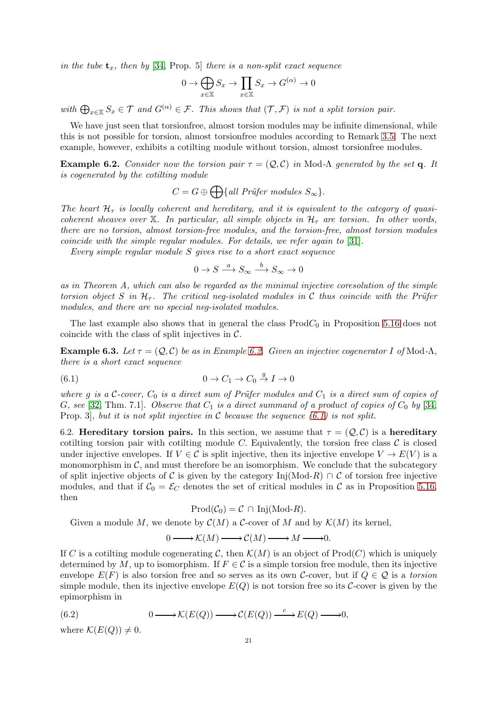in the tube  $t_x$ , then by [\[34,](#page-26-26) Prop. 5] there is a non-split exact sequence

$$
0 \to \bigoplus_{x \in \mathbb{X}} S_x \to \prod_{x \in \mathbb{X}} S_x \to G^{(\alpha)} \to 0
$$

with  $\bigoplus_{x\in\mathbb{X}}S_x\in\mathcal{T}$  and  $G^{(\alpha)}\in\mathcal{F}$ . This shows that  $(\mathcal{T},\mathcal{F})$  is not a split torsion pair.

We have just seen that torsionfree, almost torsion modules may be infinite dimensional, while this is not possible for torsion, almost torsionfree modules according to Remark [3.5.](#page-7-2) The next example, however, exhibits a cotilting module without torsion, almost torsionfree modules.

<span id="page-20-0"></span>**Example 6.2.** Consider now the torsion pair  $\tau = (Q, C)$  in Mod- $\Lambda$  generated by the set q. It is cogenerated by the cotilting module

$$
C = G \oplus \bigoplus \{ \text{all Prüfer modules } S_{\infty} \}.
$$

The heart  $\mathcal{H}_{\tau}$  is locally coherent and hereditary, and it is equivalent to the category of quasicoherent sheaves over X. In particular, all simple objects in  $\mathcal{H}_{\tau}$  are torsion. In other words, there are no torsion, almost torsion-free modules, and the torsion-free, almost torsion modules coincide with the simple regular modules. For details, we refer again to [\[31\]](#page-26-24).

Every simple regular module S gives rise to a short exact sequence

<span id="page-20-2"></span>
$$
0 \to S \xrightarrow{a} S_{\infty} \xrightarrow{b} S_{\infty} \to 0
$$

as in Theorem A, which can also be regarded as the minimal injective coresolution of the simple torsion object S in  $H_{\tau}$ . The critical neg-isolated modules in C thus coincide with the Prüfer modules, and there are no special neg-isolated modules.

The last example also shows that in general the class  $Prod_{0}$  in Proposition [5.16](#page-15-0) does not coincide with the class of split injectives in  $\mathcal{C}$ .

<span id="page-20-1"></span>**Example 6.3.** Let  $\tau = (Q, C)$  be as in Example [6.2.](#page-20-0) Given an injective cogenerator I of Mod- $\Lambda$ , there is a short exact sequence

$$
(6.1) \t\t 0 \to C_1 \to C_0 \stackrel{g}{\to} I \to 0
$$

where g is a C-cover,  $C_0$  is a direct sum of Prüfer modules and  $C_1$  is a direct sum of copies of G, see [\[32,](#page-26-27) Thm. 7.1]. Observe that  $C_1$  is a direct summand of a product of copies of  $C_0$  by [\[34,](#page-26-26) Prop. 3, but it is not split injective in C because the sequence  $(6.1)$  is not split.

6.2. Hereditary torsion pairs. In this section, we assume that  $\tau = (Q, C)$  is a hereditary cotilting torsion pair with cotilting module C. Equivalently, the torsion free class  $\mathcal C$  is closed under injective envelopes. If  $V \in \mathcal{C}$  is split injective, then its injective envelope  $V \to E(V)$  is a monomorphism in  $\mathcal{C}$ , and must therefore be an isomorphism. We conclude that the subcategory of split injective objects of C is given by the category Inj(Mod-R)  $\cap$  C of torsion free injective modules, and that if  $C_0 = \mathcal{E}_C$  denotes the set of critical modules in C as in Proposition [5.16,](#page-15-0) then

$$
\mathrm{Prod}(\mathcal{C}_0) = \mathcal{C} \cap \mathrm{Inj}(\mathrm{Mod}\text{-}R).
$$

Given a module M, we denote by  $\mathcal{C}(M)$  a C-cover of M and by  $\mathcal{K}(M)$  its kernel,

<span id="page-20-3"></span>
$$
0\longrightarrow {\cal K}(M)\longrightarrow {\cal C}(M)\longrightarrow M\longrightarrow 0.
$$

If C is a cotiling module cogenerating C, then  $\mathcal{K}(M)$  is an object of Prod(C) which is uniquely determined by M, up to isomorphism. If  $F \in \mathcal{C}$  is a simple torsion free module, then its injective envelope  $E(F)$  is also torsion free and so serves as its own C-cover, but if  $Q \in \mathcal{Q}$  is a torsion simple module, then its injective envelope  $E(Q)$  is not torsion free so its C-cover is given by the epimorphism in

(6.2) 
$$
0 \longrightarrow \mathcal{K}(E(Q)) \longrightarrow \mathcal{C}(E(Q)) \stackrel{c}{\longrightarrow} E(Q) \longrightarrow 0,
$$

where  $\mathcal{K}(E(Q)) \neq 0$ .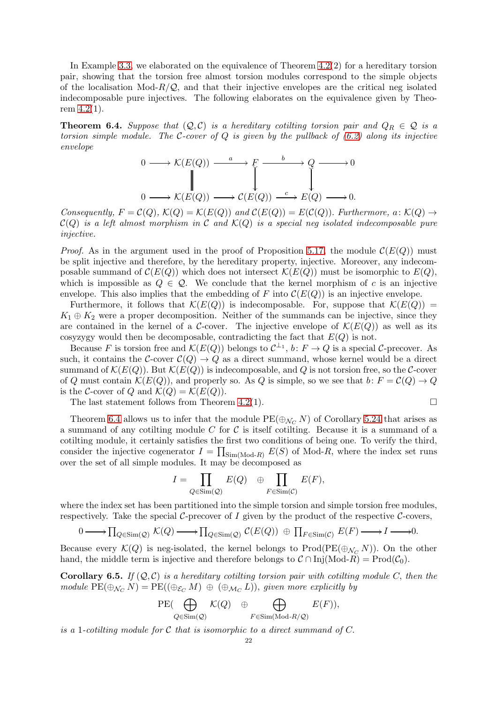In Example [3.3,](#page-6-2) we elaborated on the equivalence of Theorem [4.2\(](#page-9-0)2) for a hereditary torsion pair, showing that the torsion free almost torsion modules correspond to the simple objects of the localisation  $Mod-R/Q$ , and that their injective envelopes are the critical neg isolated indecomposable pure injectives. The following elaborates on the equivalence given by Theorem [4.2\(](#page-9-0)1).

<span id="page-21-0"></span>**Theorem 6.4.** Suppose that  $(Q, C)$  is a hereditary cotilting torsion pair and  $Q_R \in \mathcal{Q}$  is a torsion simple module. The C-cover of Q is given by the pullback of  $(6.2)$  along its injective envelope

$$
0 \longrightarrow \mathcal{K}(E(Q)) \xrightarrow{a} F \xrightarrow{b} Q \longrightarrow 0
$$
  

$$
\downarrow \qquad \qquad \downarrow
$$
  

$$
0 \longrightarrow \mathcal{K}(E(Q)) \longrightarrow \mathcal{C}(E(Q)) \xrightarrow{c} E(Q) \longrightarrow 0.
$$

Consequently,  $F = \mathcal{C}(Q)$ ,  $\mathcal{K}(Q) = \mathcal{K}(E(Q))$  and  $\mathcal{C}(E(Q)) = E(\mathcal{C}(Q))$ . Furthermore,  $a: \mathcal{K}(Q) \rightarrow$  $\mathcal{C}(Q)$  is a left almost morphism in C and  $\mathcal{K}(Q)$  is a special neg isolated indecomposable pure injective.

*Proof.* As in the argument used in the proof of Proposition [5.17,](#page-16-1) the module  $\mathcal{C}(E(Q))$  must be split injective and therefore, by the hereditary property, injective. Moreover, any indecomposable summand of  $\mathcal{C}(E(Q))$  which does not intersect  $\mathcal{K}(E(Q))$  must be isomorphic to  $E(Q)$ , which is impossible as  $Q \in \mathcal{Q}$ . We conclude that the kernel morphism of c is an injective envelope. This also implies that the embedding of F into  $\mathcal{C}(E(Q))$  is an injective envelope.

Furthermore, it follows that  $\mathcal{K}(E(Q))$  is indecomposable. For, suppose that  $\mathcal{K}(E(Q))$  =  $K_1 \oplus K_2$  were a proper decomposition. Neither of the summands can be injective, since they are contained in the kernel of a C-cover. The injective envelope of  $\mathcal{K}(E(Q))$  as well as its cosyzygy would then be decomposable, contradicting the fact that  $E(Q)$  is not.

Because F is torsion free and  $\mathcal{K}(E(Q))$  belongs to  $\mathcal{C}^{\perp_1}$ ,  $b: F \to Q$  is a special C-precover. As such, it contains the C-cover  $C(Q) \to Q$  as a direct summand, whose kernel would be a direct summand of  $\mathcal{K}(E(Q))$ . But  $\mathcal{K}(E(Q))$  is indecomposable, and Q is not torsion free, so the C-cover of Q must contain  $\mathcal{K}(E(Q))$ , and properly so. As Q is simple, so we see that  $b: F = \mathcal{C}(Q) \to Q$ is the C-cover of Q and  $\mathcal{K}(Q) = \mathcal{K}(E(Q)).$ 

The last statement follows from Theorem [4.2\(](#page-9-0)1).  $\Box$ 

Theorem [6.4](#page-21-0) allows us to infer that the module  $PE(\bigoplus_{\mathcal{N}_C} N)$  of Corollary [5.24](#page-18-3) that arises as a summand of any cotilting module  $C$  for  $C$  is itself cotilting. Because it is a summand of a cotilting module, it certainly satisfies the first two conditions of being one. To verify the third, consider the injective cogenerator  $I = \prod_{\text{Sim}(\text{Mod-}R)} E(S)$  of Mod-R, where the index set runs over the set of all simple modules. It may be decomposed as

$$
I = \prod_{Q \in \text{Sim}(Q)} E(Q) \quad \oplus \prod_{F \in \text{Sim}(\mathcal{C})} E(F),
$$

where the index set has been partitioned into the simple torsion and simple torsion free modules, respectively. Take the special  $\mathcal{C}\text{-precover}$  of I given by the product of the respective  $\mathcal{C}\text{-cover}$ ,

$$
0 \longrightarrow \prod_{Q \in \text{Sim}(Q)} \mathcal{K}(Q) \longrightarrow \prod_{Q \in \text{Sim}(Q)} \mathcal{C}(E(Q)) \oplus \prod_{F \in \text{Sim}(C)} E(F) \longrightarrow I \longrightarrow 0.
$$

Because every  $\mathcal{K}(Q)$  is neg-isolated, the kernel belongs to Prod(PE( $\oplus_{\mathcal{N}_C} N$ )). On the other hand, the middle term is injective and therefore belongs to  $\mathcal{C} \cap \text{Inj}(\text{Mod-}R) = \text{Prod}(\mathcal{C}_0)$ .

<span id="page-21-1"></span>**Corollary 6.5.** If  $(Q, C)$  is a hereditary cotiling torsion pair with cotiling module C, then the module  $PE(\bigoplus_{\mathcal{N}_C} N) = PE((\bigoplus_{\mathcal{E}_C} M) \oplus (\bigoplus_{\mathcal{M}_C} L))$ , given more explicitly by

$$
\mathrm{PE}(\bigoplus_{Q \in \mathrm{Sim}(Q)} \mathcal{K}(Q) \oplus \bigoplus_{F \in \mathrm{Sim}(\mathrm{Mod}\textrm{-}R/\mathcal{Q})} E(F)),
$$

is a 1-cotiling module for C that is isomorphic to a direct summand of C.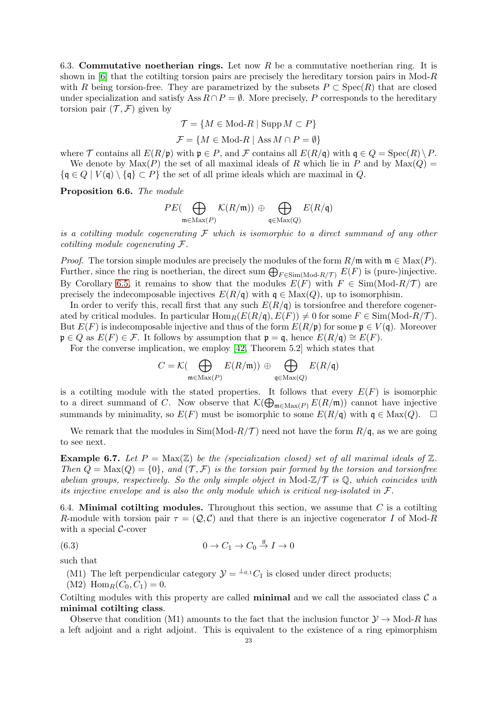6.3. Commutative noetherian rings. Let now R be a commutative noetherian ring. It is shown in  $[6]$  that the cotilting torsion pairs are precisely the hereditary torsion pairs in Mod-R with R being torsion-free. They are parametrized by the subsets  $P \subset \text{Spec}(R)$  that are closed under specialization and satisfy Ass  $R \cap P = \emptyset$ . More precisely, P corresponds to the hereditary torsion pair  $(\mathcal{T}, \mathcal{F})$  given by

$$
\mathcal{T} = \{ M \in \text{Mod-}R \mid \text{Supp}\,M \subset P \}
$$

 $\mathcal{F} = \{M \in \text{Mod-}R \mid \text{Ass } M \cap P = \emptyset\}$ 

where T contains all  $E(R/\mathfrak{p})$  with  $\mathfrak{p} \in P$ , and T contains all  $E(R/\mathfrak{q})$  with  $\mathfrak{q} \in Q = \operatorname{Spec}(R) \setminus P$ . We denote by  $\text{Max}(P)$  the set of all maximal ideals of R which lie in P and by  $\text{Max}(Q)$  =  $\{q \in Q \mid V(q) \setminus \{q\} \subset P\}$  the set of all prime ideals which are maximal in Q.

<span id="page-22-1"></span>Proposition 6.6. The module

$$
PE(\bigoplus_{\mathfrak{m}\in\operatorname{Max}(P)}\mathcal{K}(R/\mathfrak{m}))\oplus\bigoplus_{\mathfrak{q}\in\operatorname{Max}(Q)}E(R/\mathfrak{q})
$$

is a cotiling module cogenerating  $\mathcal F$  which is isomorphic to a direct summand of any other cotilting module cogenerating F.

*Proof.* The torsion simple modules are precisely the modules of the form  $R/\mathfrak{m}$  with  $\mathfrak{m} \in \text{Max}(P)$ . Further, since the ring is noetherian, the direct sum  $\bigoplus_{F \in \text{Sim}(\text{Mod-}R/\mathcal{T})} E(F)$  is (pure-)injective. By Corollary [6.5,](#page-21-1) it remains to show that the modules  $E(F)$  with  $F \in Sim(Mod-R/\mathcal{T})$  are precisely the indecomposable injectives  $E(R/\mathfrak{q})$  with  $\mathfrak{q} \in \text{Max}(Q)$ , up to isomorphism.

In order to verify this, recall first that any such  $E(R/\mathfrak{q})$  is torsionfree and therefore cogenerated by critical modules. In particular  $\text{Hom}_R(E(R/\mathfrak{q}), E(F)) \neq 0$  for some  $F \in \text{Sim}(\text{Mod-}R/\mathcal{T})$ . But  $E(F)$  is indecomposable injective and thus of the form  $E(R/\mathfrak{p})$  for some  $\mathfrak{p} \in V(\mathfrak{q})$ . Moreover  $\mathfrak{p} \in Q$  as  $E(F) \in \mathcal{F}$ . It follows by assumption that  $\mathfrak{p} = \mathfrak{q}$ , hence  $E(R/\mathfrak{q}) \cong E(F)$ . For the converse implication, we employ [\[42,](#page-26-28) Theorem 5.2] which states that

$$
C = \mathcal{K}(\bigoplus_{\mathfrak{m} \in \operatorname{Max}(P)} E(R/\mathfrak{m})) \oplus \bigoplus_{\mathfrak{q} \in \operatorname{Max}(Q)} E(R/\mathfrak{q})
$$

is a cotilting module with the stated properties. It follows that every  $E(F)$  is isomorphic to a direct summand of C. Now observe that  $\mathcal{K}(\bigoplus_{\mathfrak{m}\in\text{Max}(P)} E(R/\mathfrak{m}))$  cannot have injective summands by minimality, so  $E(F)$  must be isomorphic to some  $E(R/\mathfrak{q})$  with  $\mathfrak{q} \in \text{Max}(Q)$ .  $\Box$ 

We remark that the modules in  $\text{Sim}(\text{Mod-}R/\mathcal{T})$  need not have the form  $R/\mathfrak{q}$ , as we are going to see next.

**Example 6.7.** Let  $P = \text{Max}(\mathbb{Z})$  be the (specialization closed) set of all maximal ideals of  $\mathbb{Z}$ . Then  $Q = \text{Max}(Q) = \{0\}$ , and  $(\mathcal{T}, \mathcal{F})$  is the torsion pair formed by the torsion and torsion free abelian groups, respectively. So the only simple object in Mod- $\mathbb{Z}/\mathcal{T}$  is  $\mathbb{Q}$ , which coincides with its injective envelope and is also the only module which is critical neg-isolated in  $\mathcal{F}.$ 

6.4. Minimal cotilting modules. Throughout this section, we assume that  $C$  is a cotilting R-module with torsion pair  $\tau = (Q, C)$  and that there is an injective cogenerator I of Mod-R with a special  $C$ -cover

(6.3) 
$$
0 \to C_1 \to C_0 \stackrel{g}{\to} I \to 0
$$

such that

<span id="page-22-0"></span>(M1) The left perpendicular category  $\mathcal{Y} = {}^{\perp_{0,1}}C_1$  is closed under direct products;

 $(M2)$  Hom $_R(C_0, C_1) = 0$ .

Cotilting modules with this property are called **minimal** and we call the associated class  $\mathcal{C}$  a minimal cotilting class.

Observe that condition (M1) amounts to the fact that the inclusion functor  $\mathcal{Y} \to \text{Mod-}R$  has a left adjoint and a right adjoint. This is equivalent to the existence of a ring epimorphism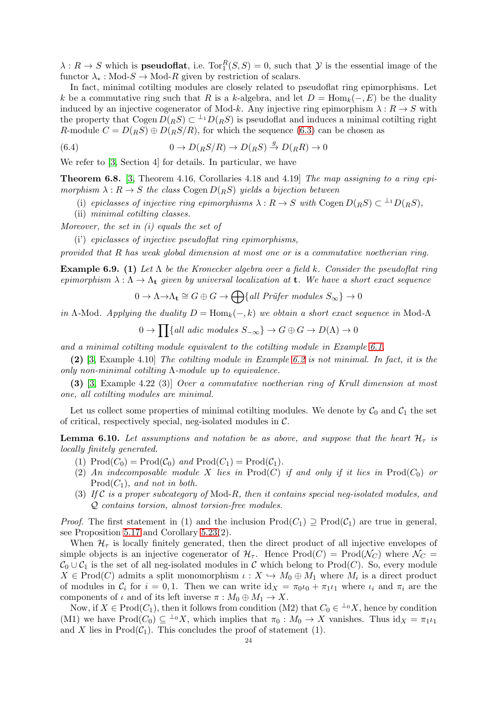$\lambda: R \to S$  which is **pseudoflat**, i.e.  $Tor_1^R(S, S) = 0$ , such that  $\mathcal Y$  is the essential image of the functor  $\lambda_* : Mod\text{-}S \to Mod\text{-}R$  given by restriction of scalars.

In fact, minimal cotilting modules are closely related to pseudoflat ring epimorphisms. Let k be a commutative ring such that R is a k-algebra, and let  $D = \text{Hom}_k(-, E)$  be the duality induced by an injective cogenerator of Mod-k. Any injective ring epimorphism  $\lambda : R \to S$  with the property that Cogen  $D(RS) \subset {}^{\perp_1}D(RS)$  is pseudoflat and induces a minimal cotilting right R-module  $C = D(RS) \oplus D(RS/R)$ , for which the sequence [\(6.3\)](#page-22-0) can be chosen as

(6.4) 
$$
0 \to D({}_RS/R) \to D({}_RS) \stackrel{g}{\to} D({}_RR) \to 0
$$

We refer to [\[3,](#page-25-7) Section 4] for details. In particular, we have

**Theorem 6.8.** [\[3,](#page-25-7) Theorem 4.16, Corollaries 4.18 and 4.19] The map assigning to a ring epimorphism  $\lambda: R \to S$  the class Cogen  $D(RS)$  yields a bijection between

- (i) epiclasses of injective ring epimorphisms  $\lambda : R \to S$  with Cogen  $D(RS) \subset {}^{\perp_1}D(RS)$ ,
- (ii) minimal cotilting classes.

Moreover, the set in (i) equals the set of

(i') epiclasses of injective pseudoflat ring epimorphisms,

provided that R has weak global dimension at most one or is a commutative noetherian ring.

**Example 6.9.** (1) Let  $\Lambda$  be the Kronecker algebra over a field k. Consider the pseudoflat ring epimorphism  $\lambda : \Lambda \to \Lambda_t$  given by universal localization at **t**. We have a short exact sequence

$$
0 \to \Lambda \to \Lambda_{\mathbf{t}} \cong G \oplus G \to \bigoplus \{ \text{all Prüfer modules } S_{\infty} \} \to 0
$$

in Λ-Mod. Applying the duality  $D = \text{Hom}_k(-, k)$  we obtain a short exact sequence in Mod-Λ

$$
0 \to \prod \{all \;adic \; modules \; S_{-\infty} \} \to G \oplus G \to D(\Lambda) \to 0
$$

and a minimal cotilting module equivalent to the cotilting module in Example [6.1.](#page-19-0)

(2) [\[3,](#page-25-7) Example 4.10] The cotilting module in Example [6.2](#page-20-0) is not minimal. In fact, it is the only non-minimal cotiling  $Λ$ -module up to equivalence.

(3) [\[3,](#page-25-7) Example 4.22 (3)] Over a commutative noetherian ring of Krull dimension at most one, all cotilting modules are minimal.

Let us collect some properties of minimal cotilting modules. We denote by  $C_0$  and  $C_1$  the set of critical, respectively special, neg-isolated modules in  $\mathcal{C}$ .

<span id="page-23-0"></span>**Lemma 6.10.** Let assumptions and notation be as above, and suppose that the heart  $\mathcal{H}_{\tau}$  is locally finitely generated.

- (1)  $\text{Prod}(C_0) = \text{Prod}(\mathcal{C}_0)$  and  $\text{Prod}(C_1) = \text{Prod}(\mathcal{C}_1)$ .
- (2) An indecomposable module X lies in Prod(C) if and only if it lies in Prod( $C_0$ ) or  $Prod(C_1)$ , and not in both.
- (3) If C is a proper subcategory of Mod-R, then it contains special neg-isolated modules, and Q contains torsion, almost torsion-free modules.

*Proof.* The first statement in (1) and the inclusion  $\text{Prod}(C_1) \supseteq \text{Prod}(\mathcal{C}_1)$  are true in general, see Proposition [5.17](#page-16-1) and Corollary [5.23\(](#page-18-2)2).

When  $\mathcal{H}_{\tau}$  is locally finitely generated, then the direct product of all injective envelopes of simple objects is an injective cogenerator of  $\mathcal{H}_{\tau}$ . Hence Prod $(C)$  = Prod $(\mathcal{N}_{C})$  where  $\mathcal{N}_{C}$  =  $\mathcal{C}_0 \cup \mathcal{C}_1$  is the set of all neg-isolated modules in C which belong to Prod(C). So, every module  $X \in \text{Prod}(C)$  admits a split monomorphism  $\iota: X \hookrightarrow M_0 \oplus M_1$  where  $M_i$  is a direct product of modules in  $\mathcal{C}_i$  for  $i = 0, 1$ . Then we can write  $\mathrm{id}_X = \pi_0 \iota_0 + \pi_1 \iota_1$  where  $\iota_i$  and  $\pi_i$  are the components of  $\iota$  and of its left inverse  $\pi : M_0 \oplus M_1 \to X$ .

Now, if  $X \in \text{Prod}(C_1)$ , then it follows from condition (M2) that  $C_0 \in {}^{\perp_0}X$ , hence by condition (M1) we have  $\text{Prod}(C_0) \subseteq {}^{\perp_0}X$ , which implies that  $\pi_0 : M_0 \to X$  vanishes. Thus  $id_X = \pi_1 \iota_1$ and X lies in  $\text{Prod}(\mathcal{C}_1)$ . This concludes the proof of statement (1).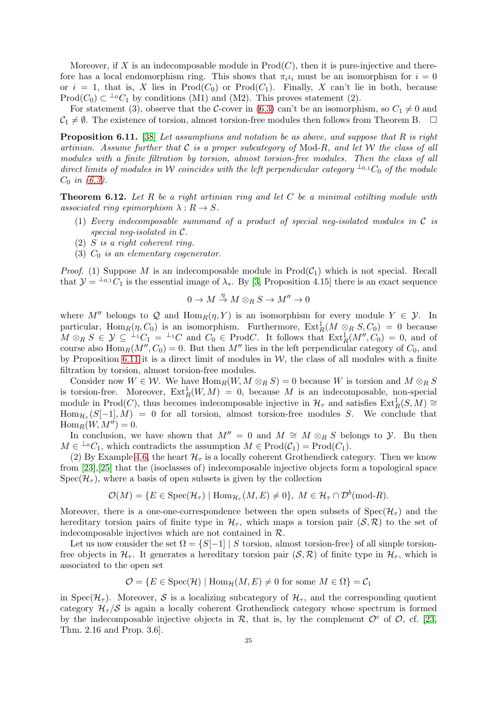Moreover, if X is an indecomposable module in  $\text{Prod}(C)$ , then it is pure-injective and therefore has a local endomorphism ring. This shows that  $\pi_i \iota_i$  must be an isomorphism for  $i = 0$ or  $i = 1$ , that is, X lies in  $Prod(C_0)$  or  $Prod(C_1)$ . Finally, X can't lie in both, because Prod( $C_0$ )  $\subset {}^{\perp_0}C_1$  by conditions (M1) and (M2). This proves statement (2).

For statement (3), observe that the C-cover in [\(6.3\)](#page-22-0) can't be an isomorphism, so  $C_1 \neq 0$  and  $C_1 \neq \emptyset$ . The existence of torsion, almost torsion-free modules then follows from Theorem B.  $\Box$ 

<span id="page-24-0"></span>**Proposition 6.11.** [\[38\]](#page-26-29) Let assumptions and notation be as above, and suppose that R is right artinian. Assume further that  $\mathcal C$  is a proper subcategory of Mod-R, and let  $\mathcal W$  the class of all modules with a finite filtration by torsion, almost torsion-free modules. Then the class of all direct limits of modules in W coincides with the left perpendicular category  $\perp_{0,1} C_0$  of the module  $C_0$  in [\(6.3\)](#page-22-0).

**Theorem 6.12.** Let R be a right artinian ring and let C be a minimal cotiling module with associated ring epimorphism  $\lambda: R \to S$ .

- (1) Every indecomposable summand of a product of special neg-isolated modules in C is special neg-isolated in C.
- (2) S is a right coherent ring.
- (3)  $C_0$  is an elementary cogenerator.

*Proof.* (1) Suppose M is an indecomposable module in  $\text{Prod}(\mathcal{C}_1)$  which is not special. Recall that  $\mathcal{Y} = {}^{\perp_{0,1}}C_1$  is the essential image of  $\lambda_*$ . By [\[3,](#page-25-7) Proposition 4.15] there is an exact sequence

$$
0\to M\stackrel{\eta}\to M\otimes_R S\to M''\to 0
$$

where M'' belongs to Q and  $\text{Hom}_R(\eta, Y)$  is an isomorphism for every module  $Y \in \mathcal{Y}$ . In particular, Hom $_R(\eta, C_0)$  is an isomorphism. Furthermore,  $\text{Ext}_R^1(M \otimes_R S, C_0) = 0$  because  $M \otimes_R S \in \mathcal{Y} \subseteq {}^{\perp_1}C_1 = {}^{\perp_1}C$  and  $C_0 \in \text{Prod}C$ . It follows that  $\text{Ext}^1_R(M'', C_0) = 0$ , and of course also  $\text{Hom}_R(M'', C_0) = 0$ . But then M'' lies in the left perpendicular category of  $C_0$ , and by Proposition [6.11](#page-24-0) it is a direct limit of modules in  $W$ , the class of all modules with a finite filtration by torsion, almost torsion-free modules.

Consider now  $W \in \mathcal{W}$ . We have  $\text{Hom}_R(W, M \otimes_R S) = 0$  because W is torsion and  $M \otimes_R S$ is torsion-free. Moreover,  $\text{Ext}^1_R(W, M) = 0$ , because M is an indecomposable, non-special module in Prod(*C*), thus becomes indecomposable injective in  $\mathcal{H}_{\tau}$  and satisfies  $\text{Ext}_{R}^{1}(S,M) \cong$  $\text{Hom}_{\mathcal{H}_{\tau}}(S[-1], M) = 0$  for all torsion, almost torsion-free modules S. We conclude that  $\operatorname{Hom}_R(W, M'') = 0.$ 

In conclusion, we have shown that  $M'' = 0$  and  $M \cong M \otimes_R S$  belongs to  $\mathcal Y$ . Bu then  $M \in {}^{\perp_0}C_1$ , which contradicts the assumption  $M \in \text{Prod}(\mathcal{C}_1) = \text{Prod}(C_1)$ .

(2) By Example [4.6,](#page-11-4) the heart  $\mathcal{H}_{\tau}$  is a locally coherent Grothendieck category. Then we know from [\[23\]](#page-26-20),[\[25\]](#page-26-30) that the (isoclasses of) indecomposable injective objects form a topological space  $Spec(\mathcal{H}_{\tau})$ , where a basis of open subsets is given by the collection

$$
\mathcal{O}(M) = \{ E \in \text{Spec}(\mathcal{H}_{\tau}) \mid \text{Hom}_{\mathcal{H}_{\tau}}(M, E) \neq 0 \}, \ M \in \mathcal{H}_{\tau} \cap \mathcal{D}^{b}(\text{mod-}R).
$$

Moreover, there is a one-one-correspondence between the open subsets of  $Spec(\mathcal{H}_{\tau})$  and the hereditary torsion pairs of finite type in  $\mathcal{H}_{\tau}$ , which maps a torsion pair  $(\mathcal{S}, \mathcal{R})$  to the set of indecomposable injectives which are not contained in  $R$ .

Let us now consider the set  $\Omega = \{S[-1] \mid S \text{ torsion, almost torsion-free}\}\$  of all simple torsionfree objects in  $\mathcal{H}_{\tau}$ . It generates a hereditary torsion pair  $(\mathcal{S}, \mathcal{R})$  of finite type in  $\mathcal{H}_{\tau}$ , which is associated to the open set

$$
\mathcal{O} = \{ E \in \text{Spec}(\mathcal{H}) \mid \text{Hom}_{\mathcal{H}}(M, E) \neq 0 \text{ for some } M \in \Omega \} = \mathcal{C}_1
$$

in Spec( $\mathcal{H}_{\tau}$ ). Moreover, S is a localizing subcategory of  $\mathcal{H}_{\tau}$ , and the corresponding quotient category  $\mathcal{H}_{\tau}/\mathcal{S}$  is again a locally coherent Grothendieck category whose spectrum is formed by the indecomposable injective objects in  $\mathcal{R}$ , that is, by the complement  $\mathcal{O}^c$  of  $\mathcal{O}$ , cf. [\[23,](#page-26-20) Thm. 2.16 and Prop. 3.6].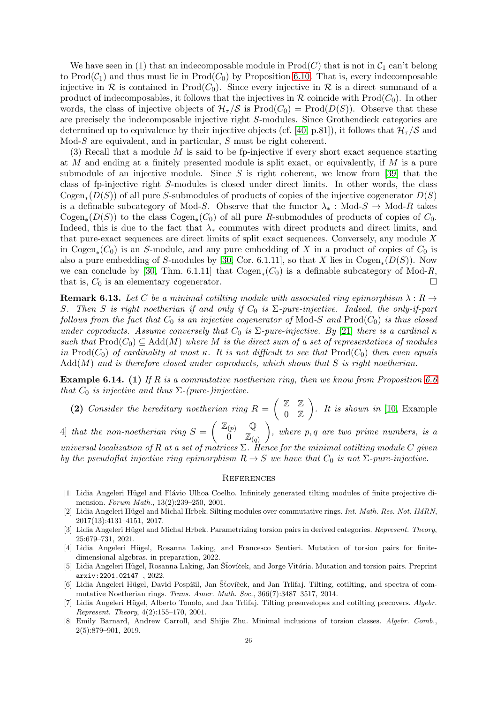We have seen in (1) that an indecomposable module in  $\text{Prod}(C)$  that is not in  $C_1$  can't belong to  $\text{Prod}(\mathcal{C}_1)$  and thus must lie in  $\text{Prod}(\mathcal{C}_0)$  by Proposition [6.10.](#page-23-0) That is, every indecomposable injective in  $\mathcal R$  is contained in Prod $(C_0)$ . Since every injective in  $\mathcal R$  is a direct summand of a product of indecomposables, it follows that the injectives in  $\mathcal R$  coincide with Prod( $C_0$ ). In other words, the class of injective objects of  $\mathcal{H}_{\tau}/\mathcal{S}$  is  $\text{Prod}(C_0) = \text{Prod}(D(S))$ . Observe that these are precisely the indecomposable injective right S-modules. Since Grothendieck categories are determined up to equivalence by their injective objects (cf. [\[40,](#page-26-17) p.81]), it follows that  $\mathcal{H}_{\tau}/\mathcal{S}$  and Mod-S are equivalent, and in particular, S must be right coherent.

(3) Recall that a module  $M$  is said to be fp-injective if every short exact sequence starting at M and ending at a finitely presented module is split exact, or equivalently, if M is a pure submodule of an injective module. Since  $S$  is right coherent, we know from [\[39\]](#page-26-31) that the class of fp-injective right S-modules is closed under direct limits. In other words, the class  $\mathrm{Cogen}_*(D(S))$  of all pure S-submodules of products of copies of the injective cogenerator  $D(S)$ is a definable subcategory of Mod-S. Observe that the functor  $\lambda_* : Mod\text{-}S \to Mod\text{-}R$  takes  $\text{Cogen}_*(D(S))$  to the class  $\text{Cogen}_*(C_0)$  of all pure R-submodules of products of copies of  $C_0$ . Indeed, this is due to the fact that  $\lambda_*$  commutes with direct products and direct limits, and that pure-exact sequences are direct limits of split exact sequences. Conversely, any module  $X$ in Cogen<sub>\*</sub>( $C_0$ ) is an S-module, and any pure embedding of X in a product of copies of  $C_0$  is also a pure embedding of S-modules by [\[30,](#page-26-21) Cor. 6.1.11], so that X lies in  $\mathrm{Cogen}_*(D(S))$ . Now we can conclude by [\[30,](#page-26-21) Thm. 6.1.11] that  $Cogen_*(C_0)$  is a definable subcategory of Mod-R, that is,  $C_0$  is an elementary cogenerator.

**Remark 6.13.** Let C be a minimal cotilting module with associated ring epimorphism  $\lambda : R \to$ S. Then S is right noetherian if and only if  $C_0$  is  $\Sigma$ -pure-injective. Indeed, the only-if-part follows from the fact that  $C_0$  is an injective cogenerator of Mod-S and Prod $(C_0)$  is thus closed under coproducts. Assume conversely that  $C_0$  is  $\Sigma$ -pure-injective. By [\[21\]](#page-26-32) there is a cardinal  $\kappa$ such that  $\text{Prod}(C_0) \subseteq \text{Add}(M)$  where M is the direct sum of a set of representatives of modules in Prod( $C_0$ ) of cardinality at most  $\kappa$ . It is not difficult to see that Prod( $C_0$ ) then even equals  $Add(M)$  and is therefore closed under coproducts, which shows that S is right noetherian.

**Example 6.14.** (1) If R is a commutative noetherian ring, then we know from Proposition [6.6](#page-22-1) that  $C_0$  is injective and thus  $\Sigma$ -(pure-)injective.

(2) Consider the hereditary noetherian ring  $R = \begin{pmatrix} \mathbb{Z} & \mathbb{Z} \\ 0 & \mathbb{Z} \end{pmatrix}$  $0Z$  $\bigg).$  It is shown in [\[10,](#page-26-33) Example

4) that the non-noetherian ring  $S = \begin{pmatrix} \mathbb{Z}_{(p)} & \mathbb{Q} \\ 0 & \pi \end{pmatrix}$  $0 \quad \mathbb{Z}_{(q)}$  $\bigg),$  where  $p, q$  are two prime numbers, is a

universal localization of R at a set of matrices  $\Sigma$ . Hence for the minimal cotilting module C given by the pseudoflat injective ring epimorphism  $R \to S$  we have that  $C_0$  is not  $\Sigma$ -pure-injective.

# **REFERENCES**

- <span id="page-25-3"></span>[1] Lidia Angeleri Hügel and Flávio Ulhoa Coelho. Infinitely generated tilting modules of finite projective dimension. *Forum Math.*, 13(2):239–250, 2001.
- <span id="page-25-4"></span>[2] Lidia Angeleri Hügel and Michal Hrbek. Silting modules over commutative rings. *Int. Math. Res. Not. IMRN*, 2017(13):4131–4151, 2017.
- <span id="page-25-7"></span>[3] Lidia Angeleri Hügel and Michal Hrbek. Parametrizing torsion pairs in derived categories. *Represent. Theory*, 25:679–731, 2021.
- <span id="page-25-2"></span>[4] Lidia Angeleri Hügel, Rosanna Laking, and Francesco Sentieri. Mutation of torsion pairs for finitedimensional algebras. in preparation, 2022.
- <span id="page-25-1"></span>[5] Lidia Angeleri Hügel, Rosanna Laking, Jan Šťovíček, and Jorge Vitória. Mutation and torsion pairs. Preprint arxiv:2201.02147 , 2022.
- <span id="page-25-6"></span>[6] Lidia Angeleri Hügel, David Pospíšil, Jan Šťovíček, and Jan Trlifaj. Tilting, cotilting, and spectra of commutative Noetherian rings. *Trans. Amer. Math. Soc.*, 366(7):3487–3517, 2014.
- <span id="page-25-5"></span>[7] Lidia Angeleri Hügel, Alberto Tonolo, and Jan Trlifaj. Tilting preenvelopes and cotilting precovers. *Algebr. Represent. Theory*, 4(2):155–170, 2001.
- <span id="page-25-0"></span>[8] Emily Barnard, Andrew Carroll, and Shijie Zhu. Minimal inclusions of torsion classes. *Algebr. Comb.*, 2(5):879–901, 2019.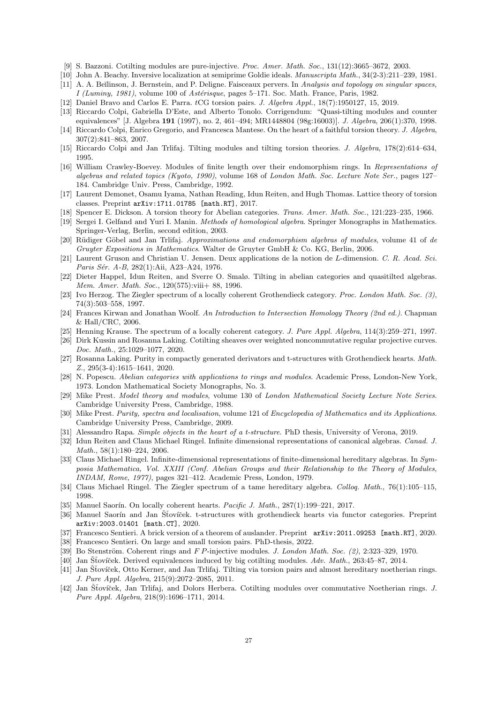- <span id="page-26-33"></span><span id="page-26-9"></span>[9] S. Bazzoni. Cotilting modules are pure-injective. *Proc. Amer. Math. Soc.*, 131(12):3665–3672, 2003.
- <span id="page-26-0"></span>[10] John A. Beachy. Inversive localization at semiprime Goldie ideals. *Manuscripta Math.*, 34(2-3):211–239, 1981.
- <span id="page-26-15"></span>[11] A. A. Be˘ılinson, J. Bernstein, and P. Deligne. Faisceaux pervers. In *Analysis and topology on singular spaces, I (Luminy, 1981)*, volume 100 of *Astérisque*, pages 5–171. Soc. Math. France, Paris, 1982.
- <span id="page-26-7"></span>[12] Daniel Bravo and Carlos E. Parra. tCG torsion pairs. *J. Algebra Appl.*, 18(7):1950127, 15, 2019.
- <span id="page-26-3"></span>[13] Riccardo Colpi, Gabriella D'Este, and Alberto Tonolo. Corrigendum: "Quasi-tilting modules and counter equivalences" [J. Algebra 191 (1997), no. 2, 461–494; MR1448804 (98g:16003)]. *J. Algebra*, 206(1):370, 1998.
- <span id="page-26-8"></span>[14] Riccardo Colpi, Enrico Gregorio, and Francesca Mantese. On the heart of a faithful torsion theory. *J. Algebra*, 307(2):841–863, 2007.
- <span id="page-26-11"></span>[15] Riccardo Colpi and Jan Trlifaj. Tilting modules and tilting torsion theories. *J. Algebra*, 178(2):614–634, 1995.
- [16] William Crawley-Boevey. Modules of finite length over their endomorphism rings. In *Representations of algebras and related topics (Kyoto, 1990)*, volume 168 of *London Math. Soc. Lecture Note Ser.*, pages 127– 184. Cambridge Univ. Press, Cambridge, 1992.
- <span id="page-26-5"></span><span id="page-26-4"></span>[17] Laurent Demonet, Osamu Iyama, Nathan Reading, Idun Reiten, and Hugh Thomas. Lattice theory of torsion classes. Preprint arXiv:1711.01785 [math.RT], 2017.
- <span id="page-26-6"></span>[18] Spencer E. Dickson. A torsion theory for Abelian categories. *Trans. Amer. Math. Soc.*, 121:223–235, 1966.
- <span id="page-26-10"></span>[19] Sergei I. Gelfand and Yuri I. Manin. *Methods of homological algebra*. Springer Monographs in Mathematics. Springer-Verlag, Berlin, second edition, 2003.
- [20] R¨udiger G¨obel and Jan Trlifaj. *Approximations and endomorphism algebras of modules*, volume 41 of *de Gruyter Expositions in Mathematics*. Walter de Gruyter GmbH & Co. KG, Berlin, 2006.
- <span id="page-26-32"></span>[21] Laurent Gruson and Christian U. Jensen. Deux applications de la notion de L-dimension. *C. R. Acad. Sci.* Paris Sér. A-B, 282(1):Aii, A23-A24, 1976.
- <span id="page-26-2"></span>[22] Dieter Happel, Idun Reiten, and Sverre O. Smalø. Tilting in abelian categories and quasitilted algebras. *Mem. Amer. Math. Soc.*, 120(575):viii+ 88, 1996.
- <span id="page-26-20"></span>[23] Ivo Herzog. The Ziegler spectrum of a locally coherent Grothendieck category. *Proc. London Math. Soc. (3)*, 74(3):503–558, 1997.
- <span id="page-26-1"></span>[24] Frances Kirwan and Jonathan Woolf. *An Introduction to Intersection Homology Theory (2nd ed.)*. Chapman & Hall/CRC, 2006.
- <span id="page-26-30"></span><span id="page-26-14"></span>[25] Henning Krause. The spectrum of a locally coherent category. *J. Pure Appl. Algebra*, 114(3):259–271, 1997.
- [26] Dirk Kussin and Rosanna Laking. Cotilting sheaves over weighted noncommutative regular projective curves. *Doc. Math.*, 25:1029–1077, 2020.
- <span id="page-26-18"></span>[27] Rosanna Laking. Purity in compactly generated derivators and t-structures with Grothendieck hearts. *Math. Z.*, 295(3-4):1615–1641, 2020.
- <span id="page-26-12"></span>[28] N. Popescu. *Abelian categories with applications to rings and modules*. Academic Press, London-New York, 1973. London Mathematical Society Monographs, No. 3.
- <span id="page-26-22"></span>[29] Mike Prest. *Model theory and modules*, volume 130 of *London Mathematical Society Lecture Note Series*. Cambridge University Press, Cambridge, 1988.
- <span id="page-26-21"></span>[30] Mike Prest. *Purity, spectra and localisation*, volume 121 of *Encyclopedia of Mathematics and its Applications*. Cambridge University Press, Cambridge, 2009.
- <span id="page-26-27"></span><span id="page-26-24"></span>[31] Alessandro Rapa. *Simple objects in the heart of a t-structure*. PhD thesis, University of Verona, 2019.
- [32] Idun Reiten and Claus Michael Ringel. Infinite dimensional representations of canonical algebras. *Canad. J. Math.*, 58(1):180–224, 2006.
- <span id="page-26-23"></span>[33] Claus Michael Ringel. Infinite-dimensional representations of finite-dimensional hereditary algebras. In *Symposia Mathematica, Vol. XXIII (Conf. Abelian Groups and their Relationship to the Theory of Modules, INDAM, Rome, 1977)*, pages 321–412. Academic Press, London, 1979.
- <span id="page-26-26"></span><span id="page-26-19"></span>[34] Claus Michael Ringel. The Ziegler spectrum of a tame hereditary algebra. *Colloq. Math.*, 76(1):105–115, 1998.
- <span id="page-26-16"></span>[35] Manuel Saorín. On locally coherent hearts. *Pacific J. Math.*, 287(1):199–221, 2017.
- [36] Manuel Saorín and Jan Šťovíček. t-structures with grothendieck hearts via functor categories. Preprint arXiv:2003.01401 [math.CT], 2020.
- <span id="page-26-29"></span><span id="page-26-13"></span>[37] Francesco Sentieri. A brick version of a theorem of auslander. Preprint arXiv:2011.09253 [math.RT], 2020.
- <span id="page-26-31"></span>[38] Francesco Sentieri. On large and small torsion pairs. PhD-thesis, 2022.
- <span id="page-26-17"></span>[39] Bo Stenström. Coherent rings and F P-injective modules. *J. London Math. Soc.* (2), 2:323–329, 1970.
- <span id="page-26-25"></span>[40] Jan Štovíček. Derived equivalences induced by big cotilting modules. *Adv. Math.*, 263:45–87, 2014.
- [41] Jan Šťovíček, Otto Kerner, and Jan Trlifaj. Tilting via torsion pairs and almost hereditary noetherian rings. *J. Pure Appl. Algebra*, 215(9):2072–2085, 2011.
- <span id="page-26-28"></span>[42] Jan Šťovíček, Jan Trlifaj, and Dolors Herbera. Cotilting modules over commutative Noetherian rings. *J. Pure Appl. Algebra*, 218(9):1696–1711, 2014.